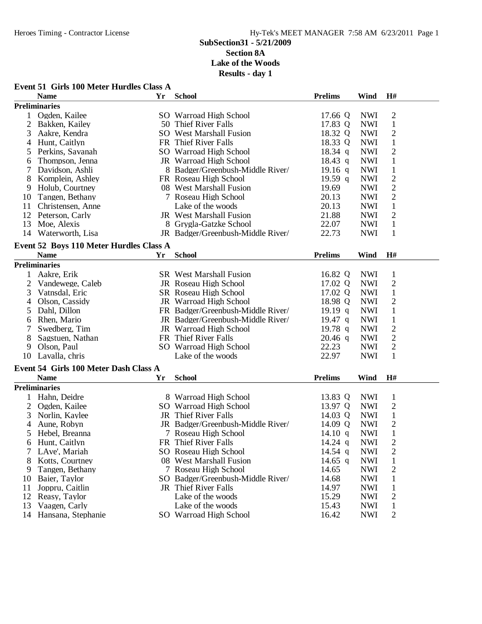### **Event 51 Girls 100 Meter Hurdles Class A**

|                | <b>Name</b>                             | Yr | <b>School</b>                     | <b>Prelims</b> | Wind       | H#             |  |
|----------------|-----------------------------------------|----|-----------------------------------|----------------|------------|----------------|--|
|                | <b>Preliminaries</b>                    |    |                                   |                |            |                |  |
| 1              | Ogden, Kailee                           |    | SO Warroad High School            | 17.66 Q        | <b>NWI</b> | $\mathfrak{2}$ |  |
| $\overline{2}$ | Bakken, Kailey                          |    | 50 Thief River Falls              | 17.83 Q        | <b>NWI</b> | $\mathbf{1}$   |  |
| 3              | Aakre, Kendra                           |    | <b>SO</b> West Marshall Fusion    | 18.32 Q        | <b>NWI</b> | $\mathfrak{2}$ |  |
| 4              | Hunt, Caitlyn                           |    | FR Thief River Falls              | 18.33 Q        | <b>NWI</b> | $\mathbf{1}$   |  |
| 5              | Perkins, Savanah                        |    | SO Warroad High School            | $18.34$ q      | <b>NWI</b> | $\overline{2}$ |  |
| 6              | Thompson, Jenna                         |    | JR Warroad High School            | $18.43$ q      | <b>NWI</b> | $\mathbf{1}$   |  |
| 7              | Davidson, Ashli                         |    | 8 Badger/Greenbush-Middle River/  | 19.16 q        | <b>NWI</b> | $\mathbf{1}$   |  |
| 8              | Komplein, Ashley                        |    | FR Roseau High School             | 19.59 q        | <b>NWI</b> | $\mathbf{2}$   |  |
| 9              | Holub, Courtney                         |    | 08 West Marshall Fusion           | 19.69          | <b>NWI</b> | $\sqrt{2}$     |  |
| 10             | Tangen, Bethany                         |    | 7 Roseau High School              | 20.13          | <b>NWI</b> | $\sqrt{2}$     |  |
| 11             | Christensen, Anne                       |    | Lake of the woods                 | 20.13          | <b>NWI</b> | $\mathbf 1$    |  |
| 12             | Peterson, Carly                         |    | JR West Marshall Fusion           | 21.88          | <b>NWI</b> | $\overline{2}$ |  |
| 13             | Moe, Alexis                             |    | 8 Grygla-Gatzke School            | 22.07          | <b>NWI</b> | $\mathbf{1}$   |  |
| 14             | Waterworth, Lisa                        |    | JR Badger/Greenbush-Middle River/ | 22.73          | <b>NWI</b> | $\mathbf{1}$   |  |
|                |                                         |    |                                   |                |            |                |  |
|                | Event 52 Boys 110 Meter Hurdles Class A |    |                                   |                |            |                |  |
|                | <b>Name</b>                             | Yr | <b>School</b>                     | <b>Prelims</b> | Wind       | H#             |  |
|                | <b>Preliminaries</b>                    |    |                                   |                |            |                |  |
| 1              | Aakre, Erik                             |    | <b>SR</b> West Marshall Fusion    | 16.82 Q        | <b>NWI</b> | $\mathbf{1}$   |  |
| 2              | Vandewege, Caleb                        |    | JR Roseau High School             | 17.02 Q        | <b>NWI</b> | $\mathfrak{2}$ |  |
| 3              | Vatnsdal, Eric                          |    | SR Roseau High School             | 17.02 Q        | <b>NWI</b> | $\mathbf{1}$   |  |
| 4              | Olson, Cassidy                          |    | JR Warroad High School            | 18.98 Q        | <b>NWI</b> | $\overline{2}$ |  |
| 5              | Dahl, Dillon                            |    | FR Badger/Greenbush-Middle River/ | 19.19 q        | <b>NWI</b> | $\mathbf{1}$   |  |
| 6              | Rhen, Mario                             |    | JR Badger/Greenbush-Middle River/ | $19.47$ q      | <b>NWI</b> | $\mathbf 1$    |  |
| 7              | Swedberg, Tim                           |    | JR Warroad High School            | 19.78 $q$      | <b>NWI</b> | $\sqrt{2}$     |  |
| 8              | Sagstuen, Nathan                        |    | FR Thief River Falls              | $20.46$ q      | <b>NWI</b> | $\sqrt{2}$     |  |
| 9              | Olson, Paul                             |    | SO Warroad High School            | 22.23          | <b>NWI</b> | $\mathfrak{2}$ |  |
| 10             | Lavalla, chris                          |    | Lake of the woods                 | 22.97          | <b>NWI</b> | $\mathbf{1}$   |  |
|                | Event 54 Girls 100 Meter Dash Class A   |    |                                   |                |            |                |  |
|                | <b>Name</b>                             | Yr | <b>School</b>                     | <b>Prelims</b> | Wind       | H#             |  |
|                | <b>Preliminaries</b>                    |    |                                   |                |            |                |  |
| 1              | Hahn, Deidre                            |    | 8 Warroad High School             | 13.83 Q        | <b>NWI</b> | $\mathbf{1}$   |  |
| 2              | Ogden, Kailee                           |    | SO Warroad High School            | 13.97 Q        | <b>NWI</b> | $\mathfrak{2}$ |  |
| 3              | Norlin, Kaylee                          |    | JR Thief River Falls              | 14.03 Q        | <b>NWI</b> | $\mathbf{1}$   |  |
| 4              | Aune, Robyn                             |    | JR Badger/Greenbush-Middle River/ | 14.09 Q        | <b>NWI</b> | $\sqrt{2}$     |  |
| 5              | Hebel, Breanna                          |    | 7 Roseau High School              | 14.10 $q$      | <b>NWI</b> | $\mathbf{1}$   |  |
| 6              | Hunt, Caitlyn                           |    | FR Thief River Falls              | 14.24 $q$      | <b>NWI</b> | $\overline{2}$ |  |
|                | LAve', Mariah                           |    | SO Roseau High School             | 14.54 $q$      | <b>NWI</b> | $\overline{c}$ |  |
| 8              | Kotts, Courtney                         |    | 08 West Marshall Fusion           | 14.65 q        | <b>NWI</b> | $\mathbf{1}$   |  |
| 9              | Tangen, Bethany                         |    | 7 Roseau High School              | 14.65          | <b>NWI</b> | $\overline{c}$ |  |
| 10             | Baier, Taylor                           |    | SO Badger/Greenbush-Middle River/ | 14.68          | <b>NWI</b> | 1              |  |
| 11             | Joppru, Caitlin                         |    | JR Thief River Falls              | 14.97          | <b>NWI</b> | 1              |  |
| 12             | Reasy, Taylor                           |    | Lake of the woods                 | 15.29          | <b>NWI</b> | 2              |  |
| 13             | Vaagen, Carly                           |    | Lake of the woods                 | 15.43          | <b>NWI</b> | 1              |  |
| 14             | Hansana, Stephanie                      |    | SO Warroad High School            | 16.42          | <b>NWI</b> | $\overline{2}$ |  |
|                |                                         |    |                                   |                |            |                |  |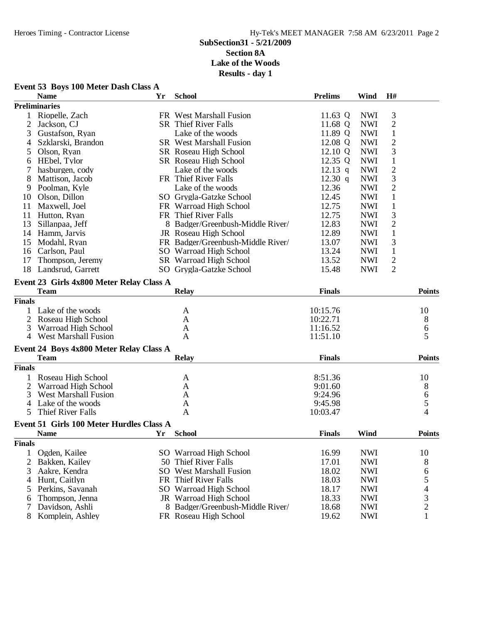|                | Event 53 Boys 100 Meter Dash Class A     |    |                                   |                |            |                |                |
|----------------|------------------------------------------|----|-----------------------------------|----------------|------------|----------------|----------------|
|                | <b>Name</b>                              | Yr | <b>School</b>                     | <b>Prelims</b> | Wind       | H#             |                |
|                | <b>Preliminaries</b>                     |    |                                   |                |            |                |                |
| 1              | Riopelle, Zach                           |    | FR West Marshall Fusion           | 11.63 Q        | <b>NWI</b> | 3              |                |
| $\overline{2}$ | Jackson, CJ                              |    | <b>SR</b> Thief River Falls       | 11.68 Q        | <b>NWI</b> | $\mathbf{2}$   |                |
| 3              | Gustafson, Ryan                          |    | Lake of the woods                 | 11.89 Q        | <b>NWI</b> | $\mathbf 1$    |                |
| 4              | Szklarski, Brandon                       |    | <b>SR</b> West Marshall Fusion    | 12.08 Q        | <b>NWI</b> | $\overline{c}$ |                |
| 5              | Olson, Ryan                              |    | SR Roseau High School             | 12.10 Q        | <b>NWI</b> | 3              |                |
| 6              | HEbel, Tylor                             |    | SR Roseau High School             | 12.35 Q        | <b>NWI</b> | $\mathbf 1$    |                |
| 7              | hasburgen, cody                          |    | Lake of the woods                 | $12.13$ q      | <b>NWI</b> | $\mathbf{2}$   |                |
| 8              | Mattison, Jacob                          |    | FR Thief River Falls              | $12.30$ q      | <b>NWI</b> | 3              |                |
| 9              | Poolman, Kyle                            |    | Lake of the woods                 | 12.36          | <b>NWI</b> | $\overline{2}$ |                |
| 10             | Olson, Dillon                            |    | SO Grygla-Gatzke School           | 12.45          | <b>NWI</b> | $\mathbf{1}$   |                |
| 11             | Maxwell, Joel                            |    | FR Warroad High School            | 12.75          | <b>NWI</b> | $\mathbf{1}$   |                |
| 11             | Hutton, Ryan                             |    | FR Thief River Falls              | 12.75          | <b>NWI</b> | 3              |                |
| 13             | Sillanpaa, Jeff                          |    | 8 Badger/Greenbush-Middle River/  | 12.83          | <b>NWI</b> | $\overline{2}$ |                |
| 14             | Hamm, Jarvis                             |    | JR Roseau High School             | 12.89          | <b>NWI</b> | $\mathbf{1}$   |                |
| 15             | Modahl, Ryan                             |    | FR Badger/Greenbush-Middle River/ | 13.07          | <b>NWI</b> | 3              |                |
|                | 16 Carlson, Paul                         |    | SO Warroad High School            | 13.24          | <b>NWI</b> | $\mathbf{1}$   |                |
| 17             | Thompson, Jeremy                         |    | SR Warroad High School            | 13.52          | <b>NWI</b> | $\overline{c}$ |                |
| 18             | Landsrud, Garrett                        |    | SO Grygla-Gatzke School           | 15.48          | <b>NWI</b> | $\overline{2}$ |                |
|                |                                          |    |                                   |                |            |                |                |
|                | Event 23 Girls 4x800 Meter Relay Class A |    |                                   |                |            |                |                |
|                | <b>Team</b>                              |    | Relay                             | <b>Finals</b>  |            |                | <b>Points</b>  |
| <b>Finals</b>  |                                          |    |                                   |                |            |                |                |
| 1              | Lake of the woods                        |    | A                                 | 10:15.76       |            |                | 10             |
| $\overline{2}$ | Roseau High School                       |    | A                                 | 10:22.71       |            |                | 8              |
| 3              | Warroad High School                      |    | A                                 | 11:16.52       |            |                | 6              |
|                | 4 West Marshall Fusion                   |    | A                                 | 11:51.10       |            |                | 5              |
|                | Event 24 Boys 4x800 Meter Relay Class A  |    |                                   |                |            |                |                |
|                | <b>Team</b>                              |    | <b>Relay</b>                      | <b>Finals</b>  |            |                | Points         |
| <b>Finals</b>  |                                          |    |                                   |                |            |                |                |
| $\mathbf{1}$   | Roseau High School                       |    | A                                 | 8:51.36        |            |                | 10             |
| 2              | Warroad High School                      |    | A                                 | 9:01.60        |            |                | 8              |
| 3              | <b>West Marshall Fusion</b>              |    | A                                 | 9:24.96        |            |                | 6              |
| 4              | Lake of the woods                        |    | A                                 | 9:45.98        |            |                | 5              |
| 5              | Thief River Falls                        |    | A                                 | 10:03.47       |            |                | $\overline{4}$ |
|                | Event 51 Girls 100 Meter Hurdles Class A |    |                                   |                |            |                |                |
|                | <b>Name</b>                              |    | Yr School                         | <b>Finals</b>  | Wind       |                | <b>Points</b>  |
| <b>Finals</b>  |                                          |    |                                   |                |            |                |                |
| $\mathbf{1}$   | Ogden, Kailee                            |    | SO Warroad High School            | 16.99          | <b>NWI</b> |                | 10             |
| 2              | Bakken, Kailey                           |    | 50 Thief River Falls              | 17.01          | <b>NWI</b> |                | 8              |
| 3              | Aakre, Kendra                            |    | <b>SO</b> West Marshall Fusion    | 18.02          | <b>NWI</b> |                | 6              |
| 4              | Hunt, Caitlyn                            |    | FR Thief River Falls              | 18.03          | <b>NWI</b> |                | 5              |
| 5              | Perkins, Savanah                         |    | SO Warroad High School            | 18.17          | <b>NWI</b> |                | 4              |
| 6              | Thompson, Jenna                          |    | JR Warroad High School            | 18.33          | <b>NWI</b> |                | 3              |
| 7              | Davidson, Ashli                          |    | 8 Badger/Greenbush-Middle River/  | 18.68          | <b>NWI</b> |                | $\overline{c}$ |
| 8              | Komplein, Ashley                         |    | FR Roseau High School             | 19.62          | <b>NWI</b> |                | 1              |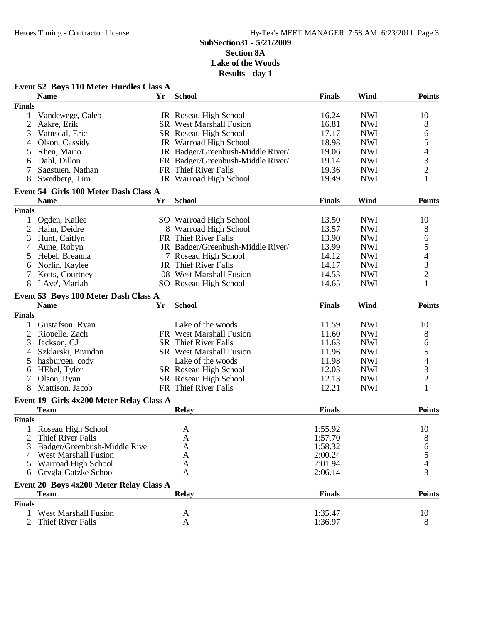|                | Event 52 Boys 110 Meter Hurdles Class A  |    |                                   |               |            |                |
|----------------|------------------------------------------|----|-----------------------------------|---------------|------------|----------------|
|                | <b>Name</b>                              | Yr | <b>School</b>                     | <b>Finals</b> | Wind       | <b>Points</b>  |
| <b>Finals</b>  |                                          |    |                                   |               |            |                |
| 1              | Vandewege, Caleb                         |    | JR Roseau High School             | 16.24         | <b>NWI</b> | 10             |
| $\overline{2}$ | Aakre, Erik                              |    | <b>SR</b> West Marshall Fusion    | 16.81         | <b>NWI</b> | 8              |
| 3              | Vatnsdal, Eric                           |    | SR Roseau High School             | 17.17         | <b>NWI</b> | 6              |
| 4              | Olson, Cassidy                           |    | JR Warroad High School            | 18.98         | <b>NWI</b> | 5              |
| 5              | Rhen, Mario                              |    | JR Badger/Greenbush-Middle River/ | 19.06         | <b>NWI</b> | 4              |
| 6              | Dahl, Dillon                             |    | FR Badger/Greenbush-Middle River/ | 19.14         | <b>NWI</b> | 3              |
|                | Sagstuen, Nathan                         |    | FR Thief River Falls              | 19.36         | <b>NWI</b> | $\overline{2}$ |
| 8              | Swedberg, Tim                            |    | JR Warroad High School            | 19.49         | <b>NWI</b> | 1              |
|                | Event 54 Girls 100 Meter Dash Class A    |    |                                   |               |            |                |
|                | <b>Name</b>                              | Yr | <b>School</b>                     | <b>Finals</b> | Wind       | <b>Points</b>  |
| <b>Finals</b>  |                                          |    |                                   |               |            |                |
| 1              | Ogden, Kailee                            |    | SO Warroad High School            | 13.50         | <b>NWI</b> | 10             |
| 2              | Hahn, Deidre                             |    | 8 Warroad High School             | 13.57         | <b>NWI</b> | 8              |
| 3              | Hunt, Caitlyn                            |    | FR Thief River Falls              | 13.90         | <b>NWI</b> | 6              |
| 4              | Aune, Robyn                              |    | JR Badger/Greenbush-Middle River/ | 13.99         | <b>NWI</b> | 5              |
| 5              | Hebel, Breanna                           |    | 7 Roseau High School              | 14.12         | <b>NWI</b> | 4              |
| 6              | Norlin, Kaylee                           |    | JR Thief River Falls              | 14.17         | <b>NWI</b> | 3              |
| 7              | Kotts, Courtney                          |    | 08 West Marshall Fusion           | 14.53         | <b>NWI</b> | $\overline{2}$ |
| 8              | LAve', Mariah                            |    | SO Roseau High School             | 14.65         | <b>NWI</b> | 1              |
|                |                                          |    |                                   |               |            |                |
|                | Event 53 Boys 100 Meter Dash Class A     |    |                                   |               |            |                |
|                | <b>Name</b>                              | Yr | <b>School</b>                     | <b>Finals</b> | Wind       | <b>Points</b>  |
| <b>Finals</b>  |                                          |    |                                   |               |            |                |
| $\mathbf{1}$   | Gustafson, Ryan                          |    | Lake of the woods                 | 11.59         | <b>NWI</b> | 10             |
| 2              | Riopelle, Zach                           |    | FR West Marshall Fusion           | 11.60         | <b>NWI</b> | 8              |
| 3              | Jackson, CJ                              |    | <b>SR</b> Thief River Falls       | 11.63         | <b>NWI</b> | 6              |
| 4              | Szklarski, Brandon                       |    | <b>SR</b> West Marshall Fusion    | 11.96         | <b>NWI</b> | 5              |
| 5              | hasburgen, cody                          |    | Lake of the woods                 | 11.98         | <b>NWI</b> | 4              |
| 6              | HEbel, Tylor                             |    | SR Roseau High School             | 12.03         | <b>NWI</b> | 3              |
| 7              | Olson, Ryan                              |    | SR Roseau High School             | 12.13         | <b>NWI</b> | $\overline{c}$ |
| 8              | Mattison, Jacob                          |    | FR Thief River Falls              | 12.21         | <b>NWI</b> | 1              |
|                | Event 19 Girls 4x200 Meter Relay Class A |    |                                   |               |            |                |
|                | <b>Team</b>                              |    | <b>Relay</b>                      | <b>Finals</b> |            | <b>Points</b>  |
| <b>Finals</b>  |                                          |    |                                   |               |            |                |
|                | 1 Roseau High School                     |    | A                                 | 1:55.92       |            | 10             |
| $\overline{2}$ | Thief River Falls                        |    | $\mathbf A$                       | 1:57.70       |            | $8\,$          |
| 3              | Badger/Greenbush-Middle Rive             |    | A                                 | 1:58.32       |            | 6              |
|                | 4 West Marshall Fusion                   |    | A                                 | 2:00.24       |            | 5              |
| 5              | Warroad High School                      |    | A                                 | 2:01.94       |            |                |
| 6              | Grygla-Gatzke School                     |    | A                                 | 2:06.14       |            | 3              |
|                | Event 20 Boys 4x200 Meter Relay Class A  |    |                                   |               |            |                |
|                | <b>Team</b>                              |    | <b>Relay</b>                      | <b>Finals</b> |            | <b>Points</b>  |
| <b>Finals</b>  |                                          |    |                                   |               |            |                |
| 1              | <b>West Marshall Fusion</b>              |    | A                                 | 1:35.47       |            | 10             |
| 2              | Thief River Falls                        |    | $\mathbf{A}$                      | 1:36.97       |            | 8              |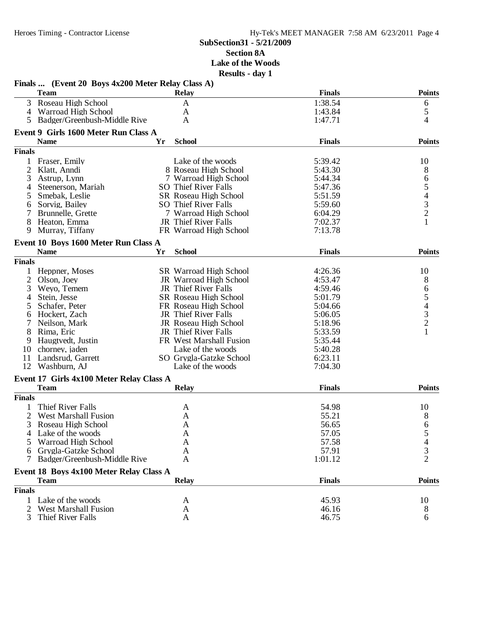|                | Finals  (Event 20 Boys 4x200 Meter Relay Class A)<br><b>Team</b> |    | <b>Relay</b>                  | <b>Finals</b> | <b>Points</b>                                   |
|----------------|------------------------------------------------------------------|----|-------------------------------|---------------|-------------------------------------------------|
|                | 3 Roseau High School                                             |    | A                             | 1:38.54       | 6                                               |
| 4              | Warroad High School                                              |    | A                             | 1:43.84       | $\mathfrak s$                                   |
|                | 5 Badger/Greenbush-Middle Rive                                   |    | A                             | 1:47.71       | 4                                               |
|                |                                                                  |    |                               |               |                                                 |
|                | Event 9 Girls 1600 Meter Run Class A<br><b>Name</b>              | Yr | <b>School</b>                 | <b>Finals</b> | <b>Points</b>                                   |
| <b>Finals</b>  |                                                                  |    |                               |               |                                                 |
| 1              | Fraser, Emily                                                    |    | Lake of the woods             | 5:39.42       | 10                                              |
| $\overline{2}$ | Klatt, Anndi                                                     |    | 8 Roseau High School          | 5:43.30       | 8                                               |
| 3              |                                                                  |    | 7 Warroad High School         | 5:44.34       |                                                 |
|                | Astrup, Lynn<br>Steenerson, Mariah                               |    | <b>SO</b> Thief River Falls   | 5:47.36       | 6                                               |
| 4              |                                                                  |    |                               |               | $\begin{array}{c} 5 \\ 4 \\ 3 \\ 2 \end{array}$ |
| 5              | Smebak, Leslie                                                   |    | SR Roseau High School         | 5:51.59       |                                                 |
| 6              | Sorvig, Bailey                                                   |    | <b>SO</b> Thief River Falls   | 5:59.60       |                                                 |
|                | Brunnelle, Grette                                                |    | 7 Warroad High School         | 6:04.29       |                                                 |
| 8              | Heaton, Emma                                                     |    | JR Thief River Falls          | 7:02.37       | $\mathbf{1}$                                    |
| 9              | Murray, Tiffany                                                  |    | FR Warroad High School        | 7:13.78       |                                                 |
|                | Event 10 Boys 1600 Meter Run Class A                             |    |                               |               |                                                 |
|                | <b>Name</b>                                                      | Yr | <b>School</b>                 | <b>Finals</b> | <b>Points</b>                                   |
| <b>Finals</b>  |                                                                  |    |                               |               |                                                 |
| $\mathbf{1}$   | Heppner, Moses                                                   |    | <b>SR</b> Warroad High School | 4:26.36       | 10                                              |
| 2              | Olson, Joey                                                      |    | JR Warroad High School        | 4:53.47       | 8                                               |
| 3              | Weyo, Temem                                                      |    | JR Thief River Falls          | 4:59.46       | 6                                               |
| 4              | Stein, Jesse                                                     |    | SR Roseau High School         | 5:01.79       |                                                 |
| 5              | Schafer, Peter                                                   |    | FR Roseau High School         | 5:04.66       | $\begin{array}{c} 5 \\ 4 \\ 3 \\ 2 \end{array}$ |
| 6              | Hockert, Zach                                                    |    | JR Thief River Falls          | 5:06.05       |                                                 |
| 7              | Neilson, Mark                                                    |    | JR Roseau High School         | 5:18.96       |                                                 |
| 8              | Rima, Eric                                                       |    | JR Thief River Falls          | 5:33.59       | $\mathbf{1}$                                    |
| 9              | Haugtvedt, Justin                                                |    | FR West Marshall Fusion       | 5:35.44       |                                                 |
| 10             | chorney, jaden                                                   |    | Lake of the woods             | 5:40.28       |                                                 |
| 11             | Landsrud, Garrett                                                |    | SO Grygla-Gatzke School       | 6:23.11       |                                                 |
|                | 12 Washburn, AJ                                                  |    | Lake of the woods             | 7:04.30       |                                                 |
|                |                                                                  |    |                               |               |                                                 |
|                | Event 17 Girls 4x100 Meter Relay Class A                         |    |                               |               |                                                 |
|                | <b>Team</b>                                                      |    | <b>Relay</b>                  | <b>Finals</b> | <b>Points</b>                                   |
| <b>Finals</b>  |                                                                  |    |                               |               |                                                 |
| 1              | Thief River Falls                                                |    | A                             | 54.98         | 10                                              |
| 2              | <b>West Marshall Fusion</b>                                      |    | A                             | 55.21         | 8                                               |
| 3              | Roseau High School                                               |    | $\mathbf{A}$                  | 56.65         | 6                                               |
| 4              | Lake of the woods                                                |    | A                             | 57.05         | 5                                               |
| 5              | Warroad High School                                              |    | A                             | 57.58         |                                                 |
| 6              | Grygla-Gatzke School                                             |    | A                             | 57.91         | 3                                               |
| 7              | Badger/Greenbush-Middle Rive                                     |    | A                             | 1:01.12       | $\overline{2}$                                  |
|                |                                                                  |    |                               |               |                                                 |
|                | Event 18 Boys 4x100 Meter Relay Class A                          |    |                               | <b>Finals</b> | <b>Points</b>                                   |
|                | <b>Team</b>                                                      |    | <b>Relay</b>                  |               |                                                 |
| <b>Finals</b>  |                                                                  |    |                               |               |                                                 |
|                | 1 Lake of the woods                                              |    | A                             | 45.93         | 10                                              |
|                | <b>West Marshall Fusion</b>                                      |    | A                             | 46.16         | 8                                               |
| 3              | Thief River Falls                                                |    | A                             | 46.75         | 6                                               |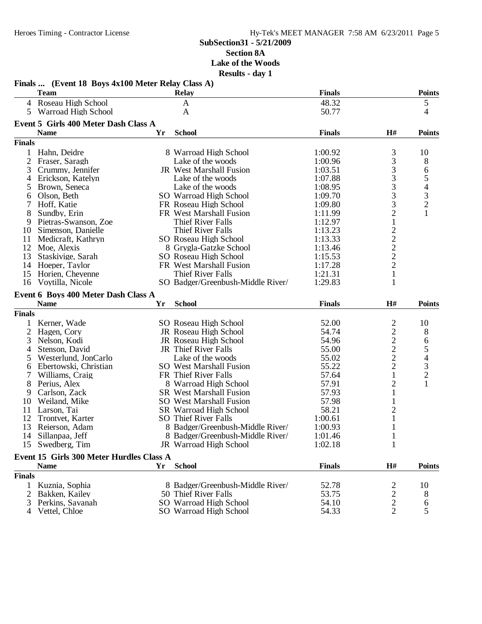|                | <b>Team</b>                              |    | <b>Relay</b>                                     | <b>Finals</b>  |                                                   | <b>Points</b>                                   |
|----------------|------------------------------------------|----|--------------------------------------------------|----------------|---------------------------------------------------|-------------------------------------------------|
|                | 4 Roseau High School                     |    | $\mathbf{A}$                                     | 48.32          |                                                   | 5                                               |
| 5              | Warroad High School                      |    | A                                                | 50.77          |                                                   | 4                                               |
|                | Event 5 Girls 400 Meter Dash Class A     |    |                                                  |                |                                                   |                                                 |
|                | <b>Name</b>                              | Yr | <b>School</b>                                    | <b>Finals</b>  | H#                                                | <b>Points</b>                                   |
| <b>Finals</b>  |                                          |    |                                                  |                |                                                   |                                                 |
| 1              | Hahn, Deidre                             |    | 8 Warroad High School                            | 1:00.92        | 3                                                 | 10                                              |
| $\overline{2}$ | Fraser, Saragh                           |    | Lake of the woods                                | 1:00.96        | 3                                                 | 8                                               |
| 3              | Crummy, Jennifer                         |    | JR West Marshall Fusion                          | 1:03.51        | 3                                                 | 6                                               |
| 4              | Erickson, Katelyn                        |    | Lake of the woods                                | 1:07.88        | 3                                                 |                                                 |
| 5              | Brown, Seneca                            |    | Lake of the woods                                | 1:08.95        | 3                                                 | $\begin{array}{c} 5 \\ 4 \\ 3 \\ 2 \end{array}$ |
| 6              | Olson, Beth                              |    | SO Warroad High School                           | 1:09.70        | 3                                                 |                                                 |
| 7              | Hoff, Katie                              |    | FR Roseau High School                            | 1:09.80        | 3                                                 |                                                 |
| 8              | Sundby, Erin                             |    | FR West Marshall Fusion                          | 1:11.99        | $\overline{c}$                                    | $\mathbf{1}$                                    |
| 9              | Pietras-Swanson, Zoe                     |    | Thief River Falls                                | 1:12.97        | $\mathbf{1}$                                      |                                                 |
| 10             | Simenson, Danielle                       |    | <b>Thief River Falls</b>                         | 1:13.23        |                                                   |                                                 |
| 11             | Medicraft, Kathryn                       |    | SO Roseau High School                            | 1:13.33        | $\begin{array}{c}\n2 \\ 2 \\ 2 \\ 2\n\end{array}$ |                                                 |
| 12             | Moe, Alexis                              |    | 8 Grygla-Gatzke School                           | 1:13.46        |                                                   |                                                 |
| 13             | Staskivige, Sarah                        |    | SO Roseau High School                            | 1:15.53        |                                                   |                                                 |
| 14             | Hoeper, Taylor                           |    | FR West Marshall Fusion                          | 1:17.28        |                                                   |                                                 |
| 15             | Horien, Cheyenne                         |    | Thief River Falls                                | 1:21.31        | $\mathbf{1}$                                      |                                                 |
| 16             | Voytilla, Nicole                         |    | SO Badger/Greenbush-Middle River/                | 1:29.83        | $\mathbf{1}$                                      |                                                 |
|                | Event 6 Boys 400 Meter Dash Class A      |    |                                                  |                |                                                   |                                                 |
|                | <b>Name</b>                              | Yr | <b>School</b>                                    | <b>Finals</b>  | H#                                                | <b>Points</b>                                   |
|                |                                          |    |                                                  |                |                                                   |                                                 |
|                |                                          |    |                                                  |                |                                                   |                                                 |
| <b>Finals</b>  |                                          |    |                                                  |                |                                                   |                                                 |
| 1              | Kerner, Wade                             |    | SO Roseau High School                            | 52.00          | $\overline{\mathbf{c}}$                           | 10                                              |
| $\overline{2}$ | Hagen, Cory                              |    | JR Roseau High School                            | 54.74          |                                                   | 8                                               |
| 3              | Nelson, Kodi                             |    | JR Roseau High School                            | 54.96          |                                                   | 6                                               |
| 4              | Stenson, David                           |    | JR Thief River Falls                             | 55.00          |                                                   |                                                 |
| 5              | Westerlund, JonCarlo                     |    | Lake of the woods                                | 55.02          | $\begin{array}{c} 2 \\ 2 \\ 2 \end{array}$        |                                                 |
| 6              | Ebertowski, Christian                    |    | <b>SO</b> West Marshall Fusion                   | 55.22          | $\overline{c}$                                    |                                                 |
| 7              | Williams, Craig                          |    | FR Thief River Falls                             | 57.64          | 1                                                 | $\begin{array}{c} 5 \\ 4 \\ 3 \\ 2 \end{array}$ |
| 8              | Perius, Alex                             |    | 8 Warroad High School                            | 57.91          | $\overline{2}$                                    | $\mathbf{1}$                                    |
| 9              | Carlson, Zack                            |    | <b>SR</b> West Marshall Fusion                   | 57.93          | 1                                                 |                                                 |
| 10             | Weiland, Mike                            |    | <b>SO</b> West Marshall Fusion                   | 57.98          | 1                                                 |                                                 |
| 11             | Larson, Tai                              |    | SR Warroad High School                           | 58.21          | $\overline{c}$                                    |                                                 |
| 12             | Trontvet, Karter                         |    | <b>SO</b> Thief River Falls                      | 1:00.61        | $\mathbf{1}$                                      |                                                 |
|                | 13 Reierson, Adam                        |    | 8 Badger/Greenbush-Middle River/                 | 1:00.93        | $\mathbf{1}$                                      |                                                 |
|                | 14 Sillanpaa, Jeff                       |    | 8 Badger/Greenbush-Middle River/                 | 1:01.46        | 1                                                 |                                                 |
| 15             | Swedberg, Tim                            |    | JR Warroad High School                           | 1:02.18        | 1                                                 |                                                 |
|                | Event 15 Girls 300 Meter Hurdles Class A |    |                                                  |                |                                                   |                                                 |
|                | <b>Name</b>                              | Yr | <b>School</b>                                    | <b>Finals</b>  | H#                                                | <b>Points</b>                                   |
| <b>Finals</b>  |                                          |    |                                                  |                |                                                   |                                                 |
|                | Kuznia, Sophia                           |    | 8 Badger/Greenbush-Middle River/                 | 52.78          | 2                                                 | 10                                              |
| 2              | Bakken, Kailey                           |    | 50 Thief River Falls                             | 53.75          | $\overline{\mathbf{c}}$                           | 8                                               |
| 3              | Perkins, Savanah<br>Vettel, Chloe        |    | SO Warroad High School<br>SO Warroad High School | 54.10<br>54.33 | $\overline{c}$<br>$\overline{2}$                  | 6<br>5                                          |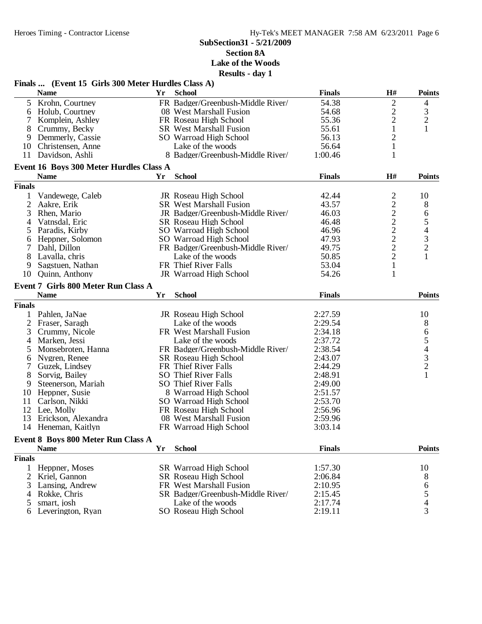#### **SubSection31 - 5/21/2009 Section 8A**

**Lake of the Woods Results - day 1**

| <b>School</b><br>H#<br><b>Name</b><br>Yr<br><b>Finals</b><br>$\mathbf{2}$<br>5 <sup>5</sup><br>54.38<br>Krohn, Courtney<br>FR Badger/Greenbush-Middle River/<br>4<br>$\overline{\mathbf{c}}$<br>$\frac{3}{2}$<br>54.68<br>Holub, Courtney<br>08 West Marshall Fusion<br>6<br>$\overline{c}$<br>55.36<br>Komplein, Ashley<br>FR Roseau High School<br>7<br>$\mathbf{1}$<br>1<br>8<br>Crummy, Becky<br><b>SR</b> West Marshall Fusion<br>55.61<br>$\overline{c}$<br>Demmerly, Cassie<br>SO Warroad High School<br>56.13<br>9<br>56.64<br>$\mathbf{1}$<br>Christensen, Anne<br>Lake of the woods<br>10<br>1<br>11 Davidson, Ashli<br>8 Badger/Greenbush-Middle River/<br>1:00.46<br>Event 16 Boys 300 Meter Hurdles Class A<br><b>School</b><br><b>Name</b><br><b>Finals</b><br>H#<br>Yr<br><b>Finals</b><br>$\overline{\mathbf{c}}$<br>Vandewege, Caleb<br>JR Roseau High School<br>42.44<br>10<br>1<br>$\overline{c}$<br>$\overline{2}$<br>43.57<br>Aakre, Erik<br><b>SR</b> West Marshall Fusion<br>8<br>$\begin{array}{c}\n2 \\ 2 \\ 2 \\ 2\n\end{array}$<br>3<br>46.03<br>6<br>Rhen, Mario<br>JR Badger/Greenbush-Middle River/<br>$\begin{array}{c} 5 \\ 4 \\ 3 \\ 2 \end{array}$<br>Vatnsdal, Eric<br>SR Roseau High School<br>46.48<br>4<br>46.96<br>Paradis, Kirby<br>SO Warroad High School<br>5<br>47.93<br>Heppner, Solomon<br>SO Warroad High School<br>6<br>49.75<br>Dahl, Dillon<br>FR Badger/Greenbush-Middle River/<br>7<br>$\overline{2}$<br>$\mathbf{1}$<br>8<br>Lavalla, chris<br>Lake of the woods<br>50.85<br>FR Thief River Falls<br>53.04<br>$\mathbf{1}$<br>9<br>Sagstuen, Nathan<br>$\mathbf{1}$<br>Quinn, Anthony<br>JR Warroad High School<br>54.26<br>10<br><b>Event 7 Girls 800 Meter Run Class A</b><br><b>School</b><br><b>Finals</b><br><b>Name</b><br>Yr<br><b>Finals</b><br>2:27.59<br>1 Pahlen, JaNae<br>JR Roseau High School<br>10<br>$\overline{2}$<br>2:29.54<br>8<br>Fraser, Saragh<br>Lake of the woods<br>654321<br>2:34.18<br>3<br>Crummy, Nicole<br>FR West Marshall Fusion<br>2:37.72<br>Marken, Jessi<br>Lake of the woods<br>$\overline{4}$<br>FR Badger/Greenbush-Middle River/<br>2:38.54<br>Monsebroten, Hanna<br>5<br>Nygren, Renee<br>SR Roseau High School<br>2:43.07<br>6<br>FR Thief River Falls<br>7<br>Guzek, Lindsey<br>2:44.29<br>8<br><b>SO</b> Thief River Falls<br>2:48.91<br>Sorvig, Bailey<br>9<br>Steenerson, Mariah<br><b>SO</b> Thief River Falls<br>2:49.00<br>2:51.57<br>Heppner, Susie<br>8 Warroad High School<br>10<br>11<br>Carlson, Nikki<br>2:53.70<br>SO Warroad High School<br>12<br>Lee, Molly<br>FR Roseau High School<br>2:56.96<br>13<br>Erickson, Alexandra<br>08 West Marshall Fusion<br>2:59.96<br>14 Heneman, Kaitlyn<br>FR Warroad High School<br>3:03.14<br>Event 8 Boys 800 Meter Run Class A<br><b>School</b><br><b>Finals</b><br><b>Name</b><br>Yr<br><b>Finals</b><br>1:57.30<br>10<br>Heppner, Moses<br><b>SR</b> Warroad High School<br>SR Roseau High School<br>2:06.84<br>2<br>Kriel, Gannon<br>8<br>6<br>5<br>4<br>Lansing, Andrew<br>FR West Marshall Fusion<br>2:10.95<br>3<br>Rokke, Chris<br>SR Badger/Greenbush-Middle River/<br>2:15.45<br>4<br>2:17.74<br>smart, josh<br>Lake of the woods<br>5<br>3<br>SO Roseau High School<br>2:19.11<br>Leverington, Ryan<br>6 | Finals  (Event 15 Girls 300 Meter Hurdles Class A) | $\bf{1}$ $\bf{1}$ |  |               |
|-------------------------------------------------------------------------------------------------------------------------------------------------------------------------------------------------------------------------------------------------------------------------------------------------------------------------------------------------------------------------------------------------------------------------------------------------------------------------------------------------------------------------------------------------------------------------------------------------------------------------------------------------------------------------------------------------------------------------------------------------------------------------------------------------------------------------------------------------------------------------------------------------------------------------------------------------------------------------------------------------------------------------------------------------------------------------------------------------------------------------------------------------------------------------------------------------------------------------------------------------------------------------------------------------------------------------------------------------------------------------------------------------------------------------------------------------------------------------------------------------------------------------------------------------------------------------------------------------------------------------------------------------------------------------------------------------------------------------------------------------------------------------------------------------------------------------------------------------------------------------------------------------------------------------------------------------------------------------------------------------------------------------------------------------------------------------------------------------------------------------------------------------------------------------------------------------------------------------------------------------------------------------------------------------------------------------------------------------------------------------------------------------------------------------------------------------------------------------------------------------------------------------------------------------------------------------------------------------------------------------------------------------------------------------------------------------------------------------------------------------------------------------------------------------------------------------------------------------------------------------------------------------------------------------------------------------------------------------------------------------------------------------------------------------------------------------------------------------------------------------------------------------------------------------------------------------------------------------------------------------------------------------|----------------------------------------------------|-------------------|--|---------------|
|                                                                                                                                                                                                                                                                                                                                                                                                                                                                                                                                                                                                                                                                                                                                                                                                                                                                                                                                                                                                                                                                                                                                                                                                                                                                                                                                                                                                                                                                                                                                                                                                                                                                                                                                                                                                                                                                                                                                                                                                                                                                                                                                                                                                                                                                                                                                                                                                                                                                                                                                                                                                                                                                                                                                                                                                                                                                                                                                                                                                                                                                                                                                                                                                                                                                         |                                                    |                   |  | <b>Points</b> |
|                                                                                                                                                                                                                                                                                                                                                                                                                                                                                                                                                                                                                                                                                                                                                                                                                                                                                                                                                                                                                                                                                                                                                                                                                                                                                                                                                                                                                                                                                                                                                                                                                                                                                                                                                                                                                                                                                                                                                                                                                                                                                                                                                                                                                                                                                                                                                                                                                                                                                                                                                                                                                                                                                                                                                                                                                                                                                                                                                                                                                                                                                                                                                                                                                                                                         |                                                    |                   |  |               |
|                                                                                                                                                                                                                                                                                                                                                                                                                                                                                                                                                                                                                                                                                                                                                                                                                                                                                                                                                                                                                                                                                                                                                                                                                                                                                                                                                                                                                                                                                                                                                                                                                                                                                                                                                                                                                                                                                                                                                                                                                                                                                                                                                                                                                                                                                                                                                                                                                                                                                                                                                                                                                                                                                                                                                                                                                                                                                                                                                                                                                                                                                                                                                                                                                                                                         |                                                    |                   |  |               |
|                                                                                                                                                                                                                                                                                                                                                                                                                                                                                                                                                                                                                                                                                                                                                                                                                                                                                                                                                                                                                                                                                                                                                                                                                                                                                                                                                                                                                                                                                                                                                                                                                                                                                                                                                                                                                                                                                                                                                                                                                                                                                                                                                                                                                                                                                                                                                                                                                                                                                                                                                                                                                                                                                                                                                                                                                                                                                                                                                                                                                                                                                                                                                                                                                                                                         |                                                    |                   |  |               |
|                                                                                                                                                                                                                                                                                                                                                                                                                                                                                                                                                                                                                                                                                                                                                                                                                                                                                                                                                                                                                                                                                                                                                                                                                                                                                                                                                                                                                                                                                                                                                                                                                                                                                                                                                                                                                                                                                                                                                                                                                                                                                                                                                                                                                                                                                                                                                                                                                                                                                                                                                                                                                                                                                                                                                                                                                                                                                                                                                                                                                                                                                                                                                                                                                                                                         |                                                    |                   |  |               |
|                                                                                                                                                                                                                                                                                                                                                                                                                                                                                                                                                                                                                                                                                                                                                                                                                                                                                                                                                                                                                                                                                                                                                                                                                                                                                                                                                                                                                                                                                                                                                                                                                                                                                                                                                                                                                                                                                                                                                                                                                                                                                                                                                                                                                                                                                                                                                                                                                                                                                                                                                                                                                                                                                                                                                                                                                                                                                                                                                                                                                                                                                                                                                                                                                                                                         |                                                    |                   |  |               |
|                                                                                                                                                                                                                                                                                                                                                                                                                                                                                                                                                                                                                                                                                                                                                                                                                                                                                                                                                                                                                                                                                                                                                                                                                                                                                                                                                                                                                                                                                                                                                                                                                                                                                                                                                                                                                                                                                                                                                                                                                                                                                                                                                                                                                                                                                                                                                                                                                                                                                                                                                                                                                                                                                                                                                                                                                                                                                                                                                                                                                                                                                                                                                                                                                                                                         |                                                    |                   |  |               |
|                                                                                                                                                                                                                                                                                                                                                                                                                                                                                                                                                                                                                                                                                                                                                                                                                                                                                                                                                                                                                                                                                                                                                                                                                                                                                                                                                                                                                                                                                                                                                                                                                                                                                                                                                                                                                                                                                                                                                                                                                                                                                                                                                                                                                                                                                                                                                                                                                                                                                                                                                                                                                                                                                                                                                                                                                                                                                                                                                                                                                                                                                                                                                                                                                                                                         |                                                    |                   |  |               |
|                                                                                                                                                                                                                                                                                                                                                                                                                                                                                                                                                                                                                                                                                                                                                                                                                                                                                                                                                                                                                                                                                                                                                                                                                                                                                                                                                                                                                                                                                                                                                                                                                                                                                                                                                                                                                                                                                                                                                                                                                                                                                                                                                                                                                                                                                                                                                                                                                                                                                                                                                                                                                                                                                                                                                                                                                                                                                                                                                                                                                                                                                                                                                                                                                                                                         |                                                    |                   |  |               |
|                                                                                                                                                                                                                                                                                                                                                                                                                                                                                                                                                                                                                                                                                                                                                                                                                                                                                                                                                                                                                                                                                                                                                                                                                                                                                                                                                                                                                                                                                                                                                                                                                                                                                                                                                                                                                                                                                                                                                                                                                                                                                                                                                                                                                                                                                                                                                                                                                                                                                                                                                                                                                                                                                                                                                                                                                                                                                                                                                                                                                                                                                                                                                                                                                                                                         |                                                    |                   |  | <b>Points</b> |
|                                                                                                                                                                                                                                                                                                                                                                                                                                                                                                                                                                                                                                                                                                                                                                                                                                                                                                                                                                                                                                                                                                                                                                                                                                                                                                                                                                                                                                                                                                                                                                                                                                                                                                                                                                                                                                                                                                                                                                                                                                                                                                                                                                                                                                                                                                                                                                                                                                                                                                                                                                                                                                                                                                                                                                                                                                                                                                                                                                                                                                                                                                                                                                                                                                                                         |                                                    |                   |  |               |
|                                                                                                                                                                                                                                                                                                                                                                                                                                                                                                                                                                                                                                                                                                                                                                                                                                                                                                                                                                                                                                                                                                                                                                                                                                                                                                                                                                                                                                                                                                                                                                                                                                                                                                                                                                                                                                                                                                                                                                                                                                                                                                                                                                                                                                                                                                                                                                                                                                                                                                                                                                                                                                                                                                                                                                                                                                                                                                                                                                                                                                                                                                                                                                                                                                                                         |                                                    |                   |  |               |
|                                                                                                                                                                                                                                                                                                                                                                                                                                                                                                                                                                                                                                                                                                                                                                                                                                                                                                                                                                                                                                                                                                                                                                                                                                                                                                                                                                                                                                                                                                                                                                                                                                                                                                                                                                                                                                                                                                                                                                                                                                                                                                                                                                                                                                                                                                                                                                                                                                                                                                                                                                                                                                                                                                                                                                                                                                                                                                                                                                                                                                                                                                                                                                                                                                                                         |                                                    |                   |  |               |
|                                                                                                                                                                                                                                                                                                                                                                                                                                                                                                                                                                                                                                                                                                                                                                                                                                                                                                                                                                                                                                                                                                                                                                                                                                                                                                                                                                                                                                                                                                                                                                                                                                                                                                                                                                                                                                                                                                                                                                                                                                                                                                                                                                                                                                                                                                                                                                                                                                                                                                                                                                                                                                                                                                                                                                                                                                                                                                                                                                                                                                                                                                                                                                                                                                                                         |                                                    |                   |  |               |
|                                                                                                                                                                                                                                                                                                                                                                                                                                                                                                                                                                                                                                                                                                                                                                                                                                                                                                                                                                                                                                                                                                                                                                                                                                                                                                                                                                                                                                                                                                                                                                                                                                                                                                                                                                                                                                                                                                                                                                                                                                                                                                                                                                                                                                                                                                                                                                                                                                                                                                                                                                                                                                                                                                                                                                                                                                                                                                                                                                                                                                                                                                                                                                                                                                                                         |                                                    |                   |  |               |
|                                                                                                                                                                                                                                                                                                                                                                                                                                                                                                                                                                                                                                                                                                                                                                                                                                                                                                                                                                                                                                                                                                                                                                                                                                                                                                                                                                                                                                                                                                                                                                                                                                                                                                                                                                                                                                                                                                                                                                                                                                                                                                                                                                                                                                                                                                                                                                                                                                                                                                                                                                                                                                                                                                                                                                                                                                                                                                                                                                                                                                                                                                                                                                                                                                                                         |                                                    |                   |  |               |
|                                                                                                                                                                                                                                                                                                                                                                                                                                                                                                                                                                                                                                                                                                                                                                                                                                                                                                                                                                                                                                                                                                                                                                                                                                                                                                                                                                                                                                                                                                                                                                                                                                                                                                                                                                                                                                                                                                                                                                                                                                                                                                                                                                                                                                                                                                                                                                                                                                                                                                                                                                                                                                                                                                                                                                                                                                                                                                                                                                                                                                                                                                                                                                                                                                                                         |                                                    |                   |  |               |
|                                                                                                                                                                                                                                                                                                                                                                                                                                                                                                                                                                                                                                                                                                                                                                                                                                                                                                                                                                                                                                                                                                                                                                                                                                                                                                                                                                                                                                                                                                                                                                                                                                                                                                                                                                                                                                                                                                                                                                                                                                                                                                                                                                                                                                                                                                                                                                                                                                                                                                                                                                                                                                                                                                                                                                                                                                                                                                                                                                                                                                                                                                                                                                                                                                                                         |                                                    |                   |  |               |
|                                                                                                                                                                                                                                                                                                                                                                                                                                                                                                                                                                                                                                                                                                                                                                                                                                                                                                                                                                                                                                                                                                                                                                                                                                                                                                                                                                                                                                                                                                                                                                                                                                                                                                                                                                                                                                                                                                                                                                                                                                                                                                                                                                                                                                                                                                                                                                                                                                                                                                                                                                                                                                                                                                                                                                                                                                                                                                                                                                                                                                                                                                                                                                                                                                                                         |                                                    |                   |  |               |
|                                                                                                                                                                                                                                                                                                                                                                                                                                                                                                                                                                                                                                                                                                                                                                                                                                                                                                                                                                                                                                                                                                                                                                                                                                                                                                                                                                                                                                                                                                                                                                                                                                                                                                                                                                                                                                                                                                                                                                                                                                                                                                                                                                                                                                                                                                                                                                                                                                                                                                                                                                                                                                                                                                                                                                                                                                                                                                                                                                                                                                                                                                                                                                                                                                                                         |                                                    |                   |  |               |
|                                                                                                                                                                                                                                                                                                                                                                                                                                                                                                                                                                                                                                                                                                                                                                                                                                                                                                                                                                                                                                                                                                                                                                                                                                                                                                                                                                                                                                                                                                                                                                                                                                                                                                                                                                                                                                                                                                                                                                                                                                                                                                                                                                                                                                                                                                                                                                                                                                                                                                                                                                                                                                                                                                                                                                                                                                                                                                                                                                                                                                                                                                                                                                                                                                                                         |                                                    |                   |  |               |
|                                                                                                                                                                                                                                                                                                                                                                                                                                                                                                                                                                                                                                                                                                                                                                                                                                                                                                                                                                                                                                                                                                                                                                                                                                                                                                                                                                                                                                                                                                                                                                                                                                                                                                                                                                                                                                                                                                                                                                                                                                                                                                                                                                                                                                                                                                                                                                                                                                                                                                                                                                                                                                                                                                                                                                                                                                                                                                                                                                                                                                                                                                                                                                                                                                                                         |                                                    |                   |  |               |
|                                                                                                                                                                                                                                                                                                                                                                                                                                                                                                                                                                                                                                                                                                                                                                                                                                                                                                                                                                                                                                                                                                                                                                                                                                                                                                                                                                                                                                                                                                                                                                                                                                                                                                                                                                                                                                                                                                                                                                                                                                                                                                                                                                                                                                                                                                                                                                                                                                                                                                                                                                                                                                                                                                                                                                                                                                                                                                                                                                                                                                                                                                                                                                                                                                                                         |                                                    |                   |  | <b>Points</b> |
|                                                                                                                                                                                                                                                                                                                                                                                                                                                                                                                                                                                                                                                                                                                                                                                                                                                                                                                                                                                                                                                                                                                                                                                                                                                                                                                                                                                                                                                                                                                                                                                                                                                                                                                                                                                                                                                                                                                                                                                                                                                                                                                                                                                                                                                                                                                                                                                                                                                                                                                                                                                                                                                                                                                                                                                                                                                                                                                                                                                                                                                                                                                                                                                                                                                                         |                                                    |                   |  |               |
|                                                                                                                                                                                                                                                                                                                                                                                                                                                                                                                                                                                                                                                                                                                                                                                                                                                                                                                                                                                                                                                                                                                                                                                                                                                                                                                                                                                                                                                                                                                                                                                                                                                                                                                                                                                                                                                                                                                                                                                                                                                                                                                                                                                                                                                                                                                                                                                                                                                                                                                                                                                                                                                                                                                                                                                                                                                                                                                                                                                                                                                                                                                                                                                                                                                                         |                                                    |                   |  |               |
|                                                                                                                                                                                                                                                                                                                                                                                                                                                                                                                                                                                                                                                                                                                                                                                                                                                                                                                                                                                                                                                                                                                                                                                                                                                                                                                                                                                                                                                                                                                                                                                                                                                                                                                                                                                                                                                                                                                                                                                                                                                                                                                                                                                                                                                                                                                                                                                                                                                                                                                                                                                                                                                                                                                                                                                                                                                                                                                                                                                                                                                                                                                                                                                                                                                                         |                                                    |                   |  |               |
|                                                                                                                                                                                                                                                                                                                                                                                                                                                                                                                                                                                                                                                                                                                                                                                                                                                                                                                                                                                                                                                                                                                                                                                                                                                                                                                                                                                                                                                                                                                                                                                                                                                                                                                                                                                                                                                                                                                                                                                                                                                                                                                                                                                                                                                                                                                                                                                                                                                                                                                                                                                                                                                                                                                                                                                                                                                                                                                                                                                                                                                                                                                                                                                                                                                                         |                                                    |                   |  |               |
|                                                                                                                                                                                                                                                                                                                                                                                                                                                                                                                                                                                                                                                                                                                                                                                                                                                                                                                                                                                                                                                                                                                                                                                                                                                                                                                                                                                                                                                                                                                                                                                                                                                                                                                                                                                                                                                                                                                                                                                                                                                                                                                                                                                                                                                                                                                                                                                                                                                                                                                                                                                                                                                                                                                                                                                                                                                                                                                                                                                                                                                                                                                                                                                                                                                                         |                                                    |                   |  |               |
|                                                                                                                                                                                                                                                                                                                                                                                                                                                                                                                                                                                                                                                                                                                                                                                                                                                                                                                                                                                                                                                                                                                                                                                                                                                                                                                                                                                                                                                                                                                                                                                                                                                                                                                                                                                                                                                                                                                                                                                                                                                                                                                                                                                                                                                                                                                                                                                                                                                                                                                                                                                                                                                                                                                                                                                                                                                                                                                                                                                                                                                                                                                                                                                                                                                                         |                                                    |                   |  |               |
|                                                                                                                                                                                                                                                                                                                                                                                                                                                                                                                                                                                                                                                                                                                                                                                                                                                                                                                                                                                                                                                                                                                                                                                                                                                                                                                                                                                                                                                                                                                                                                                                                                                                                                                                                                                                                                                                                                                                                                                                                                                                                                                                                                                                                                                                                                                                                                                                                                                                                                                                                                                                                                                                                                                                                                                                                                                                                                                                                                                                                                                                                                                                                                                                                                                                         |                                                    |                   |  |               |
|                                                                                                                                                                                                                                                                                                                                                                                                                                                                                                                                                                                                                                                                                                                                                                                                                                                                                                                                                                                                                                                                                                                                                                                                                                                                                                                                                                                                                                                                                                                                                                                                                                                                                                                                                                                                                                                                                                                                                                                                                                                                                                                                                                                                                                                                                                                                                                                                                                                                                                                                                                                                                                                                                                                                                                                                                                                                                                                                                                                                                                                                                                                                                                                                                                                                         |                                                    |                   |  |               |
|                                                                                                                                                                                                                                                                                                                                                                                                                                                                                                                                                                                                                                                                                                                                                                                                                                                                                                                                                                                                                                                                                                                                                                                                                                                                                                                                                                                                                                                                                                                                                                                                                                                                                                                                                                                                                                                                                                                                                                                                                                                                                                                                                                                                                                                                                                                                                                                                                                                                                                                                                                                                                                                                                                                                                                                                                                                                                                                                                                                                                                                                                                                                                                                                                                                                         |                                                    |                   |  |               |
|                                                                                                                                                                                                                                                                                                                                                                                                                                                                                                                                                                                                                                                                                                                                                                                                                                                                                                                                                                                                                                                                                                                                                                                                                                                                                                                                                                                                                                                                                                                                                                                                                                                                                                                                                                                                                                                                                                                                                                                                                                                                                                                                                                                                                                                                                                                                                                                                                                                                                                                                                                                                                                                                                                                                                                                                                                                                                                                                                                                                                                                                                                                                                                                                                                                                         |                                                    |                   |  |               |
|                                                                                                                                                                                                                                                                                                                                                                                                                                                                                                                                                                                                                                                                                                                                                                                                                                                                                                                                                                                                                                                                                                                                                                                                                                                                                                                                                                                                                                                                                                                                                                                                                                                                                                                                                                                                                                                                                                                                                                                                                                                                                                                                                                                                                                                                                                                                                                                                                                                                                                                                                                                                                                                                                                                                                                                                                                                                                                                                                                                                                                                                                                                                                                                                                                                                         |                                                    |                   |  |               |
|                                                                                                                                                                                                                                                                                                                                                                                                                                                                                                                                                                                                                                                                                                                                                                                                                                                                                                                                                                                                                                                                                                                                                                                                                                                                                                                                                                                                                                                                                                                                                                                                                                                                                                                                                                                                                                                                                                                                                                                                                                                                                                                                                                                                                                                                                                                                                                                                                                                                                                                                                                                                                                                                                                                                                                                                                                                                                                                                                                                                                                                                                                                                                                                                                                                                         |                                                    |                   |  |               |
|                                                                                                                                                                                                                                                                                                                                                                                                                                                                                                                                                                                                                                                                                                                                                                                                                                                                                                                                                                                                                                                                                                                                                                                                                                                                                                                                                                                                                                                                                                                                                                                                                                                                                                                                                                                                                                                                                                                                                                                                                                                                                                                                                                                                                                                                                                                                                                                                                                                                                                                                                                                                                                                                                                                                                                                                                                                                                                                                                                                                                                                                                                                                                                                                                                                                         |                                                    |                   |  |               |
|                                                                                                                                                                                                                                                                                                                                                                                                                                                                                                                                                                                                                                                                                                                                                                                                                                                                                                                                                                                                                                                                                                                                                                                                                                                                                                                                                                                                                                                                                                                                                                                                                                                                                                                                                                                                                                                                                                                                                                                                                                                                                                                                                                                                                                                                                                                                                                                                                                                                                                                                                                                                                                                                                                                                                                                                                                                                                                                                                                                                                                                                                                                                                                                                                                                                         |                                                    |                   |  |               |
|                                                                                                                                                                                                                                                                                                                                                                                                                                                                                                                                                                                                                                                                                                                                                                                                                                                                                                                                                                                                                                                                                                                                                                                                                                                                                                                                                                                                                                                                                                                                                                                                                                                                                                                                                                                                                                                                                                                                                                                                                                                                                                                                                                                                                                                                                                                                                                                                                                                                                                                                                                                                                                                                                                                                                                                                                                                                                                                                                                                                                                                                                                                                                                                                                                                                         |                                                    |                   |  |               |
|                                                                                                                                                                                                                                                                                                                                                                                                                                                                                                                                                                                                                                                                                                                                                                                                                                                                                                                                                                                                                                                                                                                                                                                                                                                                                                                                                                                                                                                                                                                                                                                                                                                                                                                                                                                                                                                                                                                                                                                                                                                                                                                                                                                                                                                                                                                                                                                                                                                                                                                                                                                                                                                                                                                                                                                                                                                                                                                                                                                                                                                                                                                                                                                                                                                                         |                                                    |                   |  |               |
|                                                                                                                                                                                                                                                                                                                                                                                                                                                                                                                                                                                                                                                                                                                                                                                                                                                                                                                                                                                                                                                                                                                                                                                                                                                                                                                                                                                                                                                                                                                                                                                                                                                                                                                                                                                                                                                                                                                                                                                                                                                                                                                                                                                                                                                                                                                                                                                                                                                                                                                                                                                                                                                                                                                                                                                                                                                                                                                                                                                                                                                                                                                                                                                                                                                                         |                                                    |                   |  | <b>Points</b> |
|                                                                                                                                                                                                                                                                                                                                                                                                                                                                                                                                                                                                                                                                                                                                                                                                                                                                                                                                                                                                                                                                                                                                                                                                                                                                                                                                                                                                                                                                                                                                                                                                                                                                                                                                                                                                                                                                                                                                                                                                                                                                                                                                                                                                                                                                                                                                                                                                                                                                                                                                                                                                                                                                                                                                                                                                                                                                                                                                                                                                                                                                                                                                                                                                                                                                         |                                                    |                   |  |               |
|                                                                                                                                                                                                                                                                                                                                                                                                                                                                                                                                                                                                                                                                                                                                                                                                                                                                                                                                                                                                                                                                                                                                                                                                                                                                                                                                                                                                                                                                                                                                                                                                                                                                                                                                                                                                                                                                                                                                                                                                                                                                                                                                                                                                                                                                                                                                                                                                                                                                                                                                                                                                                                                                                                                                                                                                                                                                                                                                                                                                                                                                                                                                                                                                                                                                         |                                                    |                   |  |               |
|                                                                                                                                                                                                                                                                                                                                                                                                                                                                                                                                                                                                                                                                                                                                                                                                                                                                                                                                                                                                                                                                                                                                                                                                                                                                                                                                                                                                                                                                                                                                                                                                                                                                                                                                                                                                                                                                                                                                                                                                                                                                                                                                                                                                                                                                                                                                                                                                                                                                                                                                                                                                                                                                                                                                                                                                                                                                                                                                                                                                                                                                                                                                                                                                                                                                         |                                                    |                   |  |               |
|                                                                                                                                                                                                                                                                                                                                                                                                                                                                                                                                                                                                                                                                                                                                                                                                                                                                                                                                                                                                                                                                                                                                                                                                                                                                                                                                                                                                                                                                                                                                                                                                                                                                                                                                                                                                                                                                                                                                                                                                                                                                                                                                                                                                                                                                                                                                                                                                                                                                                                                                                                                                                                                                                                                                                                                                                                                                                                                                                                                                                                                                                                                                                                                                                                                                         |                                                    |                   |  |               |
|                                                                                                                                                                                                                                                                                                                                                                                                                                                                                                                                                                                                                                                                                                                                                                                                                                                                                                                                                                                                                                                                                                                                                                                                                                                                                                                                                                                                                                                                                                                                                                                                                                                                                                                                                                                                                                                                                                                                                                                                                                                                                                                                                                                                                                                                                                                                                                                                                                                                                                                                                                                                                                                                                                                                                                                                                                                                                                                                                                                                                                                                                                                                                                                                                                                                         |                                                    |                   |  |               |
|                                                                                                                                                                                                                                                                                                                                                                                                                                                                                                                                                                                                                                                                                                                                                                                                                                                                                                                                                                                                                                                                                                                                                                                                                                                                                                                                                                                                                                                                                                                                                                                                                                                                                                                                                                                                                                                                                                                                                                                                                                                                                                                                                                                                                                                                                                                                                                                                                                                                                                                                                                                                                                                                                                                                                                                                                                                                                                                                                                                                                                                                                                                                                                                                                                                                         |                                                    |                   |  |               |
|                                                                                                                                                                                                                                                                                                                                                                                                                                                                                                                                                                                                                                                                                                                                                                                                                                                                                                                                                                                                                                                                                                                                                                                                                                                                                                                                                                                                                                                                                                                                                                                                                                                                                                                                                                                                                                                                                                                                                                                                                                                                                                                                                                                                                                                                                                                                                                                                                                                                                                                                                                                                                                                                                                                                                                                                                                                                                                                                                                                                                                                                                                                                                                                                                                                                         |                                                    |                   |  |               |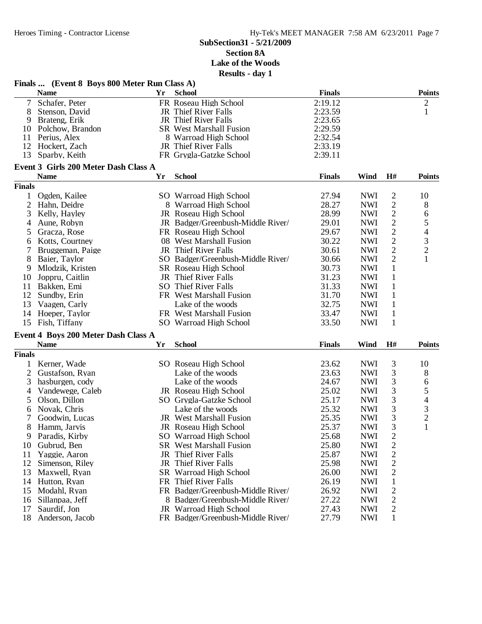# **SubSection31 - 5/21/2009 Section 8A Lake of the Woods**

**Results - day 1**

| <b>School</b><br><b>Points</b><br><b>Name</b><br>Yr<br><b>Finals</b><br>7<br>Schafer, Peter<br>2:19.12<br>2<br>FR Roseau High School<br>8<br>2:23.59<br>$\mathbf{1}$<br>JR Thief River Falls<br>Stenson, David<br>JR Thief River Falls<br>2:23.65<br>9<br>Brateng, Erik<br>2:29.59<br>Polchow, Brandon<br><b>SR</b> West Marshall Fusion<br>10<br>2:32.54<br>11<br>Perius, Alex<br>8 Warroad High School<br>12<br>2:33.19<br>Hockert, Zach<br>JR Thief River Falls<br>13<br>2:39.11<br>Sparby, Keith<br>FR Grygla-Gatzke School<br>Event 3 Girls 200 Meter Dash Class A<br><b>School</b><br><b>Name</b><br>Yr<br><b>Finals</b><br>Wind<br>H#<br><b>Points</b><br><b>Finals</b><br><b>NWI</b><br>$\overline{c}$<br>1<br>Ogden, Kailee<br>SO Warroad High School<br>27.94<br>10<br>$\mathbf{2}$<br>$\overline{2}$<br>28.27<br><b>NWI</b><br>8<br>Hahn, Deidre<br>8 Warroad High School<br>$\mathbf{2}$<br>3<br>6<br>JR Roseau High School<br>28.99<br><b>NWI</b><br>Kelly, Hayley<br>5<br>$\overline{c}$<br><b>NWI</b><br>Aune, Robyn<br>JR Badger/Greenbush-Middle River/<br>29.01<br>4<br>$\overline{4}$<br>$\sqrt{2}$<br>29.67<br><b>NWI</b><br>Gracza, Rose<br>FR Roseau High School<br>5<br>$\frac{3}{2}$<br>$\sqrt{2}$<br>30.22<br><b>NWI</b><br>Kotts, Courtney<br>08 West Marshall Fusion<br>6<br>$\sqrt{2}$<br>JR Thief River Falls<br>30.61<br><b>NWI</b><br>Bruggeman, Paige<br>7<br>$\mathbf{1}$<br>$\mathbf{2}$<br>8<br>SO Badger/Greenbush-Middle River/<br>30.66<br><b>NWI</b><br>Baier, Taylor<br>$\mathbf{1}$<br>30.73<br><b>NWI</b><br>9<br>Mlodzik, Kristen<br>SR Roseau High School<br>$\mathbf{1}$<br>JR Thief River Falls<br>31.23<br><b>NWI</b><br>10<br>Joppru, Caitlin<br>$\mathbf{1}$<br>SO Thief River Falls<br>31.33<br><b>NWI</b><br>11<br>Bakken, Emi<br>12<br>31.70<br><b>NWI</b><br>$\mathbf{1}$<br>Sundby, Erin<br>FR West Marshall Fusion<br>13<br>32.75<br><b>NWI</b><br>$\mathbf{1}$<br>Vaagen, Carly<br>Lake of the woods<br>33.47<br><b>NWI</b><br>$\mathbf{1}$<br>14<br>Hoeper, Taylor<br>FR West Marshall Fusion<br><b>NWI</b><br>1<br>15<br>Fish, Tiffany<br>SO Warroad High School<br>33.50<br>Event 4 Boys 200 Meter Dash Class A<br><b>School</b><br>Wind<br>H#<br><b>Points</b><br><b>Name</b><br>Yr<br><b>Finals</b><br><b>Finals</b><br>3<br><b>NWI</b><br>10<br>Kerner, Wade<br>SO Roseau High School<br>23.62<br>3<br>$\overline{c}$<br>23.63<br><b>NWI</b><br>8<br>Gustafson, Ryan<br>Lake of the woods<br>3<br>6<br><b>NWI</b><br>3<br>Lake of the woods<br>24.67<br>hasburgen, cody<br>5<br>3<br><b>NWI</b><br>Vandewege, Caleb<br>JR Roseau High School<br>25.02<br>4<br>3<br>$\begin{array}{c} 4 \\ 3 \\ 2 \end{array}$<br>25.17<br><b>NWI</b><br>5<br>Olson, Dillon<br>SO Grygla-Gatzke School<br>3<br>25.32<br>Novak, Chris<br>Lake of the woods<br><b>NWI</b><br>6<br>3<br>7<br>25.35<br><b>NWI</b><br>Goodwin, Lucas<br><b>JR</b> West Marshall Fusion<br>$\mathbf{1}$<br>3<br><b>NWI</b><br>8<br>JR Roseau High School<br>25.37<br>Hamm, Jarvis<br>Paradis, Kirby<br>SO Warroad High School<br>25.68<br><b>NWI</b><br>2<br>9<br>$\overline{\mathbf{c}}$<br><b>SR</b> West Marshall Fusion<br>25.80<br><b>NWI</b><br>10<br>Gubrud, Ben<br>$\overline{c}$<br>25.87<br><b>NWI</b><br>11<br>Yaggie, Aaron<br>JR Thief River Falls<br>$\overline{c}$<br>25.98<br><b>NWI</b><br>12<br>Simenson, Riley<br>JR Thief River Falls<br>$\overline{2}$<br>13<br>SR Warroad High School<br>26.00<br><b>NWI</b><br>Maxwell, Ryan<br>$\mathbf{1}$<br>FR Thief River Falls<br>26.19<br><b>NWI</b><br>14<br>Hutton, Ryan<br>$\overline{c}$<br><b>NWI</b><br>15<br>Modahl, Ryan<br>FR Badger/Greenbush-Middle River/<br>26.92<br>$\overline{2}$<br>27.22<br><b>NWI</b><br>Sillanpaa, Jeff<br>8 Badger/Greenbush-Middle River/<br>16<br>Saurdif, Jon<br>27.43<br><b>NWI</b><br>2<br>17<br>JR Warroad High School<br>FR Badger/Greenbush-Middle River/ |    | Finals  (Event 8 Boys 800 Meter Run Class A) |  |       |            |              |  |
|--------------------------------------------------------------------------------------------------------------------------------------------------------------------------------------------------------------------------------------------------------------------------------------------------------------------------------------------------------------------------------------------------------------------------------------------------------------------------------------------------------------------------------------------------------------------------------------------------------------------------------------------------------------------------------------------------------------------------------------------------------------------------------------------------------------------------------------------------------------------------------------------------------------------------------------------------------------------------------------------------------------------------------------------------------------------------------------------------------------------------------------------------------------------------------------------------------------------------------------------------------------------------------------------------------------------------------------------------------------------------------------------------------------------------------------------------------------------------------------------------------------------------------------------------------------------------------------------------------------------------------------------------------------------------------------------------------------------------------------------------------------------------------------------------------------------------------------------------------------------------------------------------------------------------------------------------------------------------------------------------------------------------------------------------------------------------------------------------------------------------------------------------------------------------------------------------------------------------------------------------------------------------------------------------------------------------------------------------------------------------------------------------------------------------------------------------------------------------------------------------------------------------------------------------------------------------------------------------------------------------------------------------------------------------------------------------------------------------------------------------------------------------------------------------------------------------------------------------------------------------------------------------------------------------------------------------------------------------------------------------------------------------------------------------------------------------------------------------------------------------------------------------------------------------------------------------------------------------------------------------------------------------------------------------------------------------------------------------------------------------------------------------------------------------------------------------------------------------------------------------------------------------------------------------------------------------------------------------------------------------------------------------------------------------------------------------------------------------------------------------------------------------------------------------------------------------------------------------------------------------------------------|----|----------------------------------------------|--|-------|------------|--------------|--|
|                                                                                                                                                                                                                                                                                                                                                                                                                                                                                                                                                                                                                                                                                                                                                                                                                                                                                                                                                                                                                                                                                                                                                                                                                                                                                                                                                                                                                                                                                                                                                                                                                                                                                                                                                                                                                                                                                                                                                                                                                                                                                                                                                                                                                                                                                                                                                                                                                                                                                                                                                                                                                                                                                                                                                                                                                                                                                                                                                                                                                                                                                                                                                                                                                                                                                                                                                                                                                                                                                                                                                                                                                                                                                                                                                                                                                                                                                            |    |                                              |  |       |            |              |  |
|                                                                                                                                                                                                                                                                                                                                                                                                                                                                                                                                                                                                                                                                                                                                                                                                                                                                                                                                                                                                                                                                                                                                                                                                                                                                                                                                                                                                                                                                                                                                                                                                                                                                                                                                                                                                                                                                                                                                                                                                                                                                                                                                                                                                                                                                                                                                                                                                                                                                                                                                                                                                                                                                                                                                                                                                                                                                                                                                                                                                                                                                                                                                                                                                                                                                                                                                                                                                                                                                                                                                                                                                                                                                                                                                                                                                                                                                                            |    |                                              |  |       |            |              |  |
|                                                                                                                                                                                                                                                                                                                                                                                                                                                                                                                                                                                                                                                                                                                                                                                                                                                                                                                                                                                                                                                                                                                                                                                                                                                                                                                                                                                                                                                                                                                                                                                                                                                                                                                                                                                                                                                                                                                                                                                                                                                                                                                                                                                                                                                                                                                                                                                                                                                                                                                                                                                                                                                                                                                                                                                                                                                                                                                                                                                                                                                                                                                                                                                                                                                                                                                                                                                                                                                                                                                                                                                                                                                                                                                                                                                                                                                                                            |    |                                              |  |       |            |              |  |
|                                                                                                                                                                                                                                                                                                                                                                                                                                                                                                                                                                                                                                                                                                                                                                                                                                                                                                                                                                                                                                                                                                                                                                                                                                                                                                                                                                                                                                                                                                                                                                                                                                                                                                                                                                                                                                                                                                                                                                                                                                                                                                                                                                                                                                                                                                                                                                                                                                                                                                                                                                                                                                                                                                                                                                                                                                                                                                                                                                                                                                                                                                                                                                                                                                                                                                                                                                                                                                                                                                                                                                                                                                                                                                                                                                                                                                                                                            |    |                                              |  |       |            |              |  |
|                                                                                                                                                                                                                                                                                                                                                                                                                                                                                                                                                                                                                                                                                                                                                                                                                                                                                                                                                                                                                                                                                                                                                                                                                                                                                                                                                                                                                                                                                                                                                                                                                                                                                                                                                                                                                                                                                                                                                                                                                                                                                                                                                                                                                                                                                                                                                                                                                                                                                                                                                                                                                                                                                                                                                                                                                                                                                                                                                                                                                                                                                                                                                                                                                                                                                                                                                                                                                                                                                                                                                                                                                                                                                                                                                                                                                                                                                            |    |                                              |  |       |            |              |  |
|                                                                                                                                                                                                                                                                                                                                                                                                                                                                                                                                                                                                                                                                                                                                                                                                                                                                                                                                                                                                                                                                                                                                                                                                                                                                                                                                                                                                                                                                                                                                                                                                                                                                                                                                                                                                                                                                                                                                                                                                                                                                                                                                                                                                                                                                                                                                                                                                                                                                                                                                                                                                                                                                                                                                                                                                                                                                                                                                                                                                                                                                                                                                                                                                                                                                                                                                                                                                                                                                                                                                                                                                                                                                                                                                                                                                                                                                                            |    |                                              |  |       |            |              |  |
|                                                                                                                                                                                                                                                                                                                                                                                                                                                                                                                                                                                                                                                                                                                                                                                                                                                                                                                                                                                                                                                                                                                                                                                                                                                                                                                                                                                                                                                                                                                                                                                                                                                                                                                                                                                                                                                                                                                                                                                                                                                                                                                                                                                                                                                                                                                                                                                                                                                                                                                                                                                                                                                                                                                                                                                                                                                                                                                                                                                                                                                                                                                                                                                                                                                                                                                                                                                                                                                                                                                                                                                                                                                                                                                                                                                                                                                                                            |    |                                              |  |       |            |              |  |
|                                                                                                                                                                                                                                                                                                                                                                                                                                                                                                                                                                                                                                                                                                                                                                                                                                                                                                                                                                                                                                                                                                                                                                                                                                                                                                                                                                                                                                                                                                                                                                                                                                                                                                                                                                                                                                                                                                                                                                                                                                                                                                                                                                                                                                                                                                                                                                                                                                                                                                                                                                                                                                                                                                                                                                                                                                                                                                                                                                                                                                                                                                                                                                                                                                                                                                                                                                                                                                                                                                                                                                                                                                                                                                                                                                                                                                                                                            |    |                                              |  |       |            |              |  |
|                                                                                                                                                                                                                                                                                                                                                                                                                                                                                                                                                                                                                                                                                                                                                                                                                                                                                                                                                                                                                                                                                                                                                                                                                                                                                                                                                                                                                                                                                                                                                                                                                                                                                                                                                                                                                                                                                                                                                                                                                                                                                                                                                                                                                                                                                                                                                                                                                                                                                                                                                                                                                                                                                                                                                                                                                                                                                                                                                                                                                                                                                                                                                                                                                                                                                                                                                                                                                                                                                                                                                                                                                                                                                                                                                                                                                                                                                            |    |                                              |  |       |            |              |  |
|                                                                                                                                                                                                                                                                                                                                                                                                                                                                                                                                                                                                                                                                                                                                                                                                                                                                                                                                                                                                                                                                                                                                                                                                                                                                                                                                                                                                                                                                                                                                                                                                                                                                                                                                                                                                                                                                                                                                                                                                                                                                                                                                                                                                                                                                                                                                                                                                                                                                                                                                                                                                                                                                                                                                                                                                                                                                                                                                                                                                                                                                                                                                                                                                                                                                                                                                                                                                                                                                                                                                                                                                                                                                                                                                                                                                                                                                                            |    |                                              |  |       |            |              |  |
|                                                                                                                                                                                                                                                                                                                                                                                                                                                                                                                                                                                                                                                                                                                                                                                                                                                                                                                                                                                                                                                                                                                                                                                                                                                                                                                                                                                                                                                                                                                                                                                                                                                                                                                                                                                                                                                                                                                                                                                                                                                                                                                                                                                                                                                                                                                                                                                                                                                                                                                                                                                                                                                                                                                                                                                                                                                                                                                                                                                                                                                                                                                                                                                                                                                                                                                                                                                                                                                                                                                                                                                                                                                                                                                                                                                                                                                                                            |    |                                              |  |       |            |              |  |
|                                                                                                                                                                                                                                                                                                                                                                                                                                                                                                                                                                                                                                                                                                                                                                                                                                                                                                                                                                                                                                                                                                                                                                                                                                                                                                                                                                                                                                                                                                                                                                                                                                                                                                                                                                                                                                                                                                                                                                                                                                                                                                                                                                                                                                                                                                                                                                                                                                                                                                                                                                                                                                                                                                                                                                                                                                                                                                                                                                                                                                                                                                                                                                                                                                                                                                                                                                                                                                                                                                                                                                                                                                                                                                                                                                                                                                                                                            |    |                                              |  |       |            |              |  |
|                                                                                                                                                                                                                                                                                                                                                                                                                                                                                                                                                                                                                                                                                                                                                                                                                                                                                                                                                                                                                                                                                                                                                                                                                                                                                                                                                                                                                                                                                                                                                                                                                                                                                                                                                                                                                                                                                                                                                                                                                                                                                                                                                                                                                                                                                                                                                                                                                                                                                                                                                                                                                                                                                                                                                                                                                                                                                                                                                                                                                                                                                                                                                                                                                                                                                                                                                                                                                                                                                                                                                                                                                                                                                                                                                                                                                                                                                            |    |                                              |  |       |            |              |  |
|                                                                                                                                                                                                                                                                                                                                                                                                                                                                                                                                                                                                                                                                                                                                                                                                                                                                                                                                                                                                                                                                                                                                                                                                                                                                                                                                                                                                                                                                                                                                                                                                                                                                                                                                                                                                                                                                                                                                                                                                                                                                                                                                                                                                                                                                                                                                                                                                                                                                                                                                                                                                                                                                                                                                                                                                                                                                                                                                                                                                                                                                                                                                                                                                                                                                                                                                                                                                                                                                                                                                                                                                                                                                                                                                                                                                                                                                                            |    |                                              |  |       |            |              |  |
|                                                                                                                                                                                                                                                                                                                                                                                                                                                                                                                                                                                                                                                                                                                                                                                                                                                                                                                                                                                                                                                                                                                                                                                                                                                                                                                                                                                                                                                                                                                                                                                                                                                                                                                                                                                                                                                                                                                                                                                                                                                                                                                                                                                                                                                                                                                                                                                                                                                                                                                                                                                                                                                                                                                                                                                                                                                                                                                                                                                                                                                                                                                                                                                                                                                                                                                                                                                                                                                                                                                                                                                                                                                                                                                                                                                                                                                                                            |    |                                              |  |       |            |              |  |
|                                                                                                                                                                                                                                                                                                                                                                                                                                                                                                                                                                                                                                                                                                                                                                                                                                                                                                                                                                                                                                                                                                                                                                                                                                                                                                                                                                                                                                                                                                                                                                                                                                                                                                                                                                                                                                                                                                                                                                                                                                                                                                                                                                                                                                                                                                                                                                                                                                                                                                                                                                                                                                                                                                                                                                                                                                                                                                                                                                                                                                                                                                                                                                                                                                                                                                                                                                                                                                                                                                                                                                                                                                                                                                                                                                                                                                                                                            |    |                                              |  |       |            |              |  |
|                                                                                                                                                                                                                                                                                                                                                                                                                                                                                                                                                                                                                                                                                                                                                                                                                                                                                                                                                                                                                                                                                                                                                                                                                                                                                                                                                                                                                                                                                                                                                                                                                                                                                                                                                                                                                                                                                                                                                                                                                                                                                                                                                                                                                                                                                                                                                                                                                                                                                                                                                                                                                                                                                                                                                                                                                                                                                                                                                                                                                                                                                                                                                                                                                                                                                                                                                                                                                                                                                                                                                                                                                                                                                                                                                                                                                                                                                            |    |                                              |  |       |            |              |  |
|                                                                                                                                                                                                                                                                                                                                                                                                                                                                                                                                                                                                                                                                                                                                                                                                                                                                                                                                                                                                                                                                                                                                                                                                                                                                                                                                                                                                                                                                                                                                                                                                                                                                                                                                                                                                                                                                                                                                                                                                                                                                                                                                                                                                                                                                                                                                                                                                                                                                                                                                                                                                                                                                                                                                                                                                                                                                                                                                                                                                                                                                                                                                                                                                                                                                                                                                                                                                                                                                                                                                                                                                                                                                                                                                                                                                                                                                                            |    |                                              |  |       |            |              |  |
|                                                                                                                                                                                                                                                                                                                                                                                                                                                                                                                                                                                                                                                                                                                                                                                                                                                                                                                                                                                                                                                                                                                                                                                                                                                                                                                                                                                                                                                                                                                                                                                                                                                                                                                                                                                                                                                                                                                                                                                                                                                                                                                                                                                                                                                                                                                                                                                                                                                                                                                                                                                                                                                                                                                                                                                                                                                                                                                                                                                                                                                                                                                                                                                                                                                                                                                                                                                                                                                                                                                                                                                                                                                                                                                                                                                                                                                                                            |    |                                              |  |       |            |              |  |
|                                                                                                                                                                                                                                                                                                                                                                                                                                                                                                                                                                                                                                                                                                                                                                                                                                                                                                                                                                                                                                                                                                                                                                                                                                                                                                                                                                                                                                                                                                                                                                                                                                                                                                                                                                                                                                                                                                                                                                                                                                                                                                                                                                                                                                                                                                                                                                                                                                                                                                                                                                                                                                                                                                                                                                                                                                                                                                                                                                                                                                                                                                                                                                                                                                                                                                                                                                                                                                                                                                                                                                                                                                                                                                                                                                                                                                                                                            |    |                                              |  |       |            |              |  |
|                                                                                                                                                                                                                                                                                                                                                                                                                                                                                                                                                                                                                                                                                                                                                                                                                                                                                                                                                                                                                                                                                                                                                                                                                                                                                                                                                                                                                                                                                                                                                                                                                                                                                                                                                                                                                                                                                                                                                                                                                                                                                                                                                                                                                                                                                                                                                                                                                                                                                                                                                                                                                                                                                                                                                                                                                                                                                                                                                                                                                                                                                                                                                                                                                                                                                                                                                                                                                                                                                                                                                                                                                                                                                                                                                                                                                                                                                            |    |                                              |  |       |            |              |  |
|                                                                                                                                                                                                                                                                                                                                                                                                                                                                                                                                                                                                                                                                                                                                                                                                                                                                                                                                                                                                                                                                                                                                                                                                                                                                                                                                                                                                                                                                                                                                                                                                                                                                                                                                                                                                                                                                                                                                                                                                                                                                                                                                                                                                                                                                                                                                                                                                                                                                                                                                                                                                                                                                                                                                                                                                                                                                                                                                                                                                                                                                                                                                                                                                                                                                                                                                                                                                                                                                                                                                                                                                                                                                                                                                                                                                                                                                                            |    |                                              |  |       |            |              |  |
|                                                                                                                                                                                                                                                                                                                                                                                                                                                                                                                                                                                                                                                                                                                                                                                                                                                                                                                                                                                                                                                                                                                                                                                                                                                                                                                                                                                                                                                                                                                                                                                                                                                                                                                                                                                                                                                                                                                                                                                                                                                                                                                                                                                                                                                                                                                                                                                                                                                                                                                                                                                                                                                                                                                                                                                                                                                                                                                                                                                                                                                                                                                                                                                                                                                                                                                                                                                                                                                                                                                                                                                                                                                                                                                                                                                                                                                                                            |    |                                              |  |       |            |              |  |
|                                                                                                                                                                                                                                                                                                                                                                                                                                                                                                                                                                                                                                                                                                                                                                                                                                                                                                                                                                                                                                                                                                                                                                                                                                                                                                                                                                                                                                                                                                                                                                                                                                                                                                                                                                                                                                                                                                                                                                                                                                                                                                                                                                                                                                                                                                                                                                                                                                                                                                                                                                                                                                                                                                                                                                                                                                                                                                                                                                                                                                                                                                                                                                                                                                                                                                                                                                                                                                                                                                                                                                                                                                                                                                                                                                                                                                                                                            |    |                                              |  |       |            |              |  |
|                                                                                                                                                                                                                                                                                                                                                                                                                                                                                                                                                                                                                                                                                                                                                                                                                                                                                                                                                                                                                                                                                                                                                                                                                                                                                                                                                                                                                                                                                                                                                                                                                                                                                                                                                                                                                                                                                                                                                                                                                                                                                                                                                                                                                                                                                                                                                                                                                                                                                                                                                                                                                                                                                                                                                                                                                                                                                                                                                                                                                                                                                                                                                                                                                                                                                                                                                                                                                                                                                                                                                                                                                                                                                                                                                                                                                                                                                            |    |                                              |  |       |            |              |  |
|                                                                                                                                                                                                                                                                                                                                                                                                                                                                                                                                                                                                                                                                                                                                                                                                                                                                                                                                                                                                                                                                                                                                                                                                                                                                                                                                                                                                                                                                                                                                                                                                                                                                                                                                                                                                                                                                                                                                                                                                                                                                                                                                                                                                                                                                                                                                                                                                                                                                                                                                                                                                                                                                                                                                                                                                                                                                                                                                                                                                                                                                                                                                                                                                                                                                                                                                                                                                                                                                                                                                                                                                                                                                                                                                                                                                                                                                                            |    |                                              |  |       |            |              |  |
|                                                                                                                                                                                                                                                                                                                                                                                                                                                                                                                                                                                                                                                                                                                                                                                                                                                                                                                                                                                                                                                                                                                                                                                                                                                                                                                                                                                                                                                                                                                                                                                                                                                                                                                                                                                                                                                                                                                                                                                                                                                                                                                                                                                                                                                                                                                                                                                                                                                                                                                                                                                                                                                                                                                                                                                                                                                                                                                                                                                                                                                                                                                                                                                                                                                                                                                                                                                                                                                                                                                                                                                                                                                                                                                                                                                                                                                                                            |    |                                              |  |       |            |              |  |
|                                                                                                                                                                                                                                                                                                                                                                                                                                                                                                                                                                                                                                                                                                                                                                                                                                                                                                                                                                                                                                                                                                                                                                                                                                                                                                                                                                                                                                                                                                                                                                                                                                                                                                                                                                                                                                                                                                                                                                                                                                                                                                                                                                                                                                                                                                                                                                                                                                                                                                                                                                                                                                                                                                                                                                                                                                                                                                                                                                                                                                                                                                                                                                                                                                                                                                                                                                                                                                                                                                                                                                                                                                                                                                                                                                                                                                                                                            |    |                                              |  |       |            |              |  |
|                                                                                                                                                                                                                                                                                                                                                                                                                                                                                                                                                                                                                                                                                                                                                                                                                                                                                                                                                                                                                                                                                                                                                                                                                                                                                                                                                                                                                                                                                                                                                                                                                                                                                                                                                                                                                                                                                                                                                                                                                                                                                                                                                                                                                                                                                                                                                                                                                                                                                                                                                                                                                                                                                                                                                                                                                                                                                                                                                                                                                                                                                                                                                                                                                                                                                                                                                                                                                                                                                                                                                                                                                                                                                                                                                                                                                                                                                            |    |                                              |  |       |            |              |  |
|                                                                                                                                                                                                                                                                                                                                                                                                                                                                                                                                                                                                                                                                                                                                                                                                                                                                                                                                                                                                                                                                                                                                                                                                                                                                                                                                                                                                                                                                                                                                                                                                                                                                                                                                                                                                                                                                                                                                                                                                                                                                                                                                                                                                                                                                                                                                                                                                                                                                                                                                                                                                                                                                                                                                                                                                                                                                                                                                                                                                                                                                                                                                                                                                                                                                                                                                                                                                                                                                                                                                                                                                                                                                                                                                                                                                                                                                                            |    |                                              |  |       |            |              |  |
|                                                                                                                                                                                                                                                                                                                                                                                                                                                                                                                                                                                                                                                                                                                                                                                                                                                                                                                                                                                                                                                                                                                                                                                                                                                                                                                                                                                                                                                                                                                                                                                                                                                                                                                                                                                                                                                                                                                                                                                                                                                                                                                                                                                                                                                                                                                                                                                                                                                                                                                                                                                                                                                                                                                                                                                                                                                                                                                                                                                                                                                                                                                                                                                                                                                                                                                                                                                                                                                                                                                                                                                                                                                                                                                                                                                                                                                                                            |    |                                              |  |       |            |              |  |
|                                                                                                                                                                                                                                                                                                                                                                                                                                                                                                                                                                                                                                                                                                                                                                                                                                                                                                                                                                                                                                                                                                                                                                                                                                                                                                                                                                                                                                                                                                                                                                                                                                                                                                                                                                                                                                                                                                                                                                                                                                                                                                                                                                                                                                                                                                                                                                                                                                                                                                                                                                                                                                                                                                                                                                                                                                                                                                                                                                                                                                                                                                                                                                                                                                                                                                                                                                                                                                                                                                                                                                                                                                                                                                                                                                                                                                                                                            |    |                                              |  |       |            |              |  |
|                                                                                                                                                                                                                                                                                                                                                                                                                                                                                                                                                                                                                                                                                                                                                                                                                                                                                                                                                                                                                                                                                                                                                                                                                                                                                                                                                                                                                                                                                                                                                                                                                                                                                                                                                                                                                                                                                                                                                                                                                                                                                                                                                                                                                                                                                                                                                                                                                                                                                                                                                                                                                                                                                                                                                                                                                                                                                                                                                                                                                                                                                                                                                                                                                                                                                                                                                                                                                                                                                                                                                                                                                                                                                                                                                                                                                                                                                            |    |                                              |  |       |            |              |  |
|                                                                                                                                                                                                                                                                                                                                                                                                                                                                                                                                                                                                                                                                                                                                                                                                                                                                                                                                                                                                                                                                                                                                                                                                                                                                                                                                                                                                                                                                                                                                                                                                                                                                                                                                                                                                                                                                                                                                                                                                                                                                                                                                                                                                                                                                                                                                                                                                                                                                                                                                                                                                                                                                                                                                                                                                                                                                                                                                                                                                                                                                                                                                                                                                                                                                                                                                                                                                                                                                                                                                                                                                                                                                                                                                                                                                                                                                                            |    |                                              |  |       |            |              |  |
|                                                                                                                                                                                                                                                                                                                                                                                                                                                                                                                                                                                                                                                                                                                                                                                                                                                                                                                                                                                                                                                                                                                                                                                                                                                                                                                                                                                                                                                                                                                                                                                                                                                                                                                                                                                                                                                                                                                                                                                                                                                                                                                                                                                                                                                                                                                                                                                                                                                                                                                                                                                                                                                                                                                                                                                                                                                                                                                                                                                                                                                                                                                                                                                                                                                                                                                                                                                                                                                                                                                                                                                                                                                                                                                                                                                                                                                                                            |    |                                              |  |       |            |              |  |
|                                                                                                                                                                                                                                                                                                                                                                                                                                                                                                                                                                                                                                                                                                                                                                                                                                                                                                                                                                                                                                                                                                                                                                                                                                                                                                                                                                                                                                                                                                                                                                                                                                                                                                                                                                                                                                                                                                                                                                                                                                                                                                                                                                                                                                                                                                                                                                                                                                                                                                                                                                                                                                                                                                                                                                                                                                                                                                                                                                                                                                                                                                                                                                                                                                                                                                                                                                                                                                                                                                                                                                                                                                                                                                                                                                                                                                                                                            |    |                                              |  |       |            |              |  |
|                                                                                                                                                                                                                                                                                                                                                                                                                                                                                                                                                                                                                                                                                                                                                                                                                                                                                                                                                                                                                                                                                                                                                                                                                                                                                                                                                                                                                                                                                                                                                                                                                                                                                                                                                                                                                                                                                                                                                                                                                                                                                                                                                                                                                                                                                                                                                                                                                                                                                                                                                                                                                                                                                                                                                                                                                                                                                                                                                                                                                                                                                                                                                                                                                                                                                                                                                                                                                                                                                                                                                                                                                                                                                                                                                                                                                                                                                            |    |                                              |  |       |            |              |  |
|                                                                                                                                                                                                                                                                                                                                                                                                                                                                                                                                                                                                                                                                                                                                                                                                                                                                                                                                                                                                                                                                                                                                                                                                                                                                                                                                                                                                                                                                                                                                                                                                                                                                                                                                                                                                                                                                                                                                                                                                                                                                                                                                                                                                                                                                                                                                                                                                                                                                                                                                                                                                                                                                                                                                                                                                                                                                                                                                                                                                                                                                                                                                                                                                                                                                                                                                                                                                                                                                                                                                                                                                                                                                                                                                                                                                                                                                                            |    |                                              |  |       |            |              |  |
|                                                                                                                                                                                                                                                                                                                                                                                                                                                                                                                                                                                                                                                                                                                                                                                                                                                                                                                                                                                                                                                                                                                                                                                                                                                                                                                                                                                                                                                                                                                                                                                                                                                                                                                                                                                                                                                                                                                                                                                                                                                                                                                                                                                                                                                                                                                                                                                                                                                                                                                                                                                                                                                                                                                                                                                                                                                                                                                                                                                                                                                                                                                                                                                                                                                                                                                                                                                                                                                                                                                                                                                                                                                                                                                                                                                                                                                                                            |    |                                              |  |       |            |              |  |
|                                                                                                                                                                                                                                                                                                                                                                                                                                                                                                                                                                                                                                                                                                                                                                                                                                                                                                                                                                                                                                                                                                                                                                                                                                                                                                                                                                                                                                                                                                                                                                                                                                                                                                                                                                                                                                                                                                                                                                                                                                                                                                                                                                                                                                                                                                                                                                                                                                                                                                                                                                                                                                                                                                                                                                                                                                                                                                                                                                                                                                                                                                                                                                                                                                                                                                                                                                                                                                                                                                                                                                                                                                                                                                                                                                                                                                                                                            |    |                                              |  |       |            |              |  |
|                                                                                                                                                                                                                                                                                                                                                                                                                                                                                                                                                                                                                                                                                                                                                                                                                                                                                                                                                                                                                                                                                                                                                                                                                                                                                                                                                                                                                                                                                                                                                                                                                                                                                                                                                                                                                                                                                                                                                                                                                                                                                                                                                                                                                                                                                                                                                                                                                                                                                                                                                                                                                                                                                                                                                                                                                                                                                                                                                                                                                                                                                                                                                                                                                                                                                                                                                                                                                                                                                                                                                                                                                                                                                                                                                                                                                                                                                            |    |                                              |  |       |            |              |  |
|                                                                                                                                                                                                                                                                                                                                                                                                                                                                                                                                                                                                                                                                                                                                                                                                                                                                                                                                                                                                                                                                                                                                                                                                                                                                                                                                                                                                                                                                                                                                                                                                                                                                                                                                                                                                                                                                                                                                                                                                                                                                                                                                                                                                                                                                                                                                                                                                                                                                                                                                                                                                                                                                                                                                                                                                                                                                                                                                                                                                                                                                                                                                                                                                                                                                                                                                                                                                                                                                                                                                                                                                                                                                                                                                                                                                                                                                                            |    |                                              |  |       |            |              |  |
|                                                                                                                                                                                                                                                                                                                                                                                                                                                                                                                                                                                                                                                                                                                                                                                                                                                                                                                                                                                                                                                                                                                                                                                                                                                                                                                                                                                                                                                                                                                                                                                                                                                                                                                                                                                                                                                                                                                                                                                                                                                                                                                                                                                                                                                                                                                                                                                                                                                                                                                                                                                                                                                                                                                                                                                                                                                                                                                                                                                                                                                                                                                                                                                                                                                                                                                                                                                                                                                                                                                                                                                                                                                                                                                                                                                                                                                                                            |    |                                              |  |       |            |              |  |
|                                                                                                                                                                                                                                                                                                                                                                                                                                                                                                                                                                                                                                                                                                                                                                                                                                                                                                                                                                                                                                                                                                                                                                                                                                                                                                                                                                                                                                                                                                                                                                                                                                                                                                                                                                                                                                                                                                                                                                                                                                                                                                                                                                                                                                                                                                                                                                                                                                                                                                                                                                                                                                                                                                                                                                                                                                                                                                                                                                                                                                                                                                                                                                                                                                                                                                                                                                                                                                                                                                                                                                                                                                                                                                                                                                                                                                                                                            |    |                                              |  |       |            |              |  |
|                                                                                                                                                                                                                                                                                                                                                                                                                                                                                                                                                                                                                                                                                                                                                                                                                                                                                                                                                                                                                                                                                                                                                                                                                                                                                                                                                                                                                                                                                                                                                                                                                                                                                                                                                                                                                                                                                                                                                                                                                                                                                                                                                                                                                                                                                                                                                                                                                                                                                                                                                                                                                                                                                                                                                                                                                                                                                                                                                                                                                                                                                                                                                                                                                                                                                                                                                                                                                                                                                                                                                                                                                                                                                                                                                                                                                                                                                            |    |                                              |  |       |            |              |  |
|                                                                                                                                                                                                                                                                                                                                                                                                                                                                                                                                                                                                                                                                                                                                                                                                                                                                                                                                                                                                                                                                                                                                                                                                                                                                                                                                                                                                                                                                                                                                                                                                                                                                                                                                                                                                                                                                                                                                                                                                                                                                                                                                                                                                                                                                                                                                                                                                                                                                                                                                                                                                                                                                                                                                                                                                                                                                                                                                                                                                                                                                                                                                                                                                                                                                                                                                                                                                                                                                                                                                                                                                                                                                                                                                                                                                                                                                                            |    |                                              |  |       |            |              |  |
|                                                                                                                                                                                                                                                                                                                                                                                                                                                                                                                                                                                                                                                                                                                                                                                                                                                                                                                                                                                                                                                                                                                                                                                                                                                                                                                                                                                                                                                                                                                                                                                                                                                                                                                                                                                                                                                                                                                                                                                                                                                                                                                                                                                                                                                                                                                                                                                                                                                                                                                                                                                                                                                                                                                                                                                                                                                                                                                                                                                                                                                                                                                                                                                                                                                                                                                                                                                                                                                                                                                                                                                                                                                                                                                                                                                                                                                                                            |    |                                              |  |       |            |              |  |
|                                                                                                                                                                                                                                                                                                                                                                                                                                                                                                                                                                                                                                                                                                                                                                                                                                                                                                                                                                                                                                                                                                                                                                                                                                                                                                                                                                                                                                                                                                                                                                                                                                                                                                                                                                                                                                                                                                                                                                                                                                                                                                                                                                                                                                                                                                                                                                                                                                                                                                                                                                                                                                                                                                                                                                                                                                                                                                                                                                                                                                                                                                                                                                                                                                                                                                                                                                                                                                                                                                                                                                                                                                                                                                                                                                                                                                                                                            | 18 | Anderson, Jacob                              |  | 27.79 | <b>NWI</b> | $\mathbf{1}$ |  |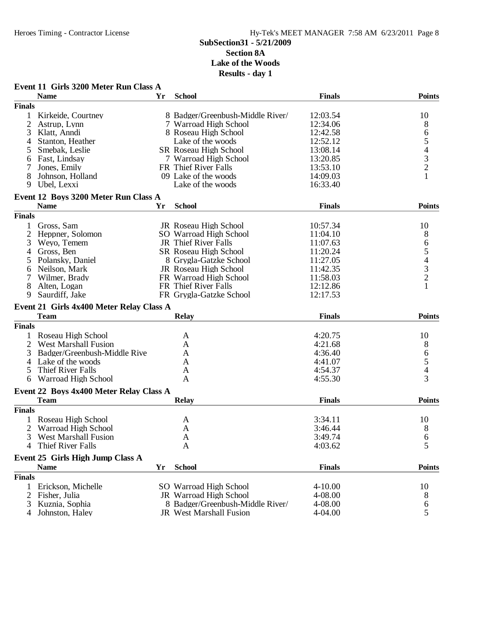|                | Event 11 Girls 3200 Meter Run Class A                  |    |                                  |                    |                                                 |
|----------------|--------------------------------------------------------|----|----------------------------------|--------------------|-------------------------------------------------|
|                | <b>Name</b>                                            | Yr | <b>School</b>                    | <b>Finals</b>      | <b>Points</b>                                   |
| <b>Finals</b>  |                                                        |    |                                  |                    |                                                 |
|                | Kirkeide, Courtney                                     |    | 8 Badger/Greenbush-Middle River/ | 12:03.54           | 10                                              |
| 2              | Astrup, Lynn                                           |    | 7 Warroad High School            | 12:34.06           | 8                                               |
| 3              | Klatt, Anndi                                           |    | 8 Roseau High School             | 12:42.58           | $\sqrt{6}$                                      |
| 4              | Stanton, Heather                                       |    | Lake of the woods                | 12:52.12           | 5                                               |
| 5              | Smebak, Leslie                                         |    | SR Roseau High School            | 13:08.14           |                                                 |
| 6              | Fast, Lindsay                                          |    | 7 Warroad High School            | 13:20.85           |                                                 |
|                | Jones, Emily                                           |    | FR Thief River Falls             | 13:53.10           | $\begin{array}{c} 4 \\ 3 \\ 2 \\ 1 \end{array}$ |
| 8              | Johnson, Holland                                       |    | 09 Lake of the woods             | 14:09.03           |                                                 |
| 9              | Ubel, Lexxi                                            |    | Lake of the woods                | 16:33.40           |                                                 |
|                | Event 12 Boys 3200 Meter Run Class A                   |    |                                  |                    |                                                 |
|                | <b>Name</b>                                            | Yr | <b>School</b>                    | <b>Finals</b>      | <b>Points</b>                                   |
| <b>Finals</b>  |                                                        |    |                                  |                    |                                                 |
| 1              | Gross, Sam                                             |    | JR Roseau High School            | 10:57.34           | 10                                              |
| $\overline{c}$ | Heppner, Solomon                                       |    | SO Warroad High School           | 11:04.10           | 8                                               |
| 3              | Wevo, Temem                                            |    | JR Thief River Falls             | 11:07.63           | 6                                               |
| 4              | Gross, Ben                                             |    | SR Roseau High School            | 11:20.24           | 5                                               |
| 5              | Polansky, Daniel                                       |    | 8 Grygla-Gatzke School           | 11:27.05           | $\overline{\mathcal{L}}$                        |
| 6              | Neilson, Mark                                          |    | JR Roseau High School            | 11:42.35           |                                                 |
| 7              | Wilmer, Brady                                          |    | FR Warroad High School           | 11:58.03           | $\frac{3}{2}$                                   |
| 8              | Alten, Logan                                           |    | FR Thief River Falls             | 12:12.86           | 1                                               |
| 9              | Saurdiff, Jake                                         |    | FR Grygla-Gatzke School          | 12:17.53           |                                                 |
|                | Event 21 Girls 4x400 Meter Relay Class A               |    |                                  |                    |                                                 |
|                | <b>Team</b>                                            |    | <b>Relay</b>                     | <b>Finals</b>      | <b>Points</b>                                   |
| <b>Finals</b>  |                                                        |    |                                  |                    |                                                 |
|                | Roseau High School                                     |    | A                                | 4:20.75            | 10                                              |
| $\overline{2}$ | <b>West Marshall Fusion</b>                            |    | A                                | 4:21.68            | 8                                               |
| 3              | Badger/Greenbush-Middle Rive                           |    | A                                | 4:36.40            |                                                 |
| 4              | Lake of the woods                                      |    | A                                | 4:41.07            | 6<br>5<br>4                                     |
| 5              | Thief River Falls                                      |    | A                                | 4:54.37            |                                                 |
| 6              | Warroad High School                                    |    | A                                | 4:55.30            | 3                                               |
|                |                                                        |    |                                  |                    |                                                 |
|                | Event 22 Boys 4x400 Meter Relay Class A<br><b>Team</b> |    | <b>Relay</b>                     | <b>Finals</b>      | <b>Points</b>                                   |
| <b>Finals</b>  |                                                        |    |                                  |                    |                                                 |
|                | Roseau High School                                     |    | A                                | 3:34.11            | 10                                              |
| 2              | Warroad High School                                    |    | A                                | 3:46.44            | 8                                               |
|                | West Marshall Fusion                                   |    |                                  |                    |                                                 |
| 3<br>4         | Thief River Falls                                      |    | A<br>A                           | 3:49.74<br>4:03.62 | $\sigma$<br>5                                   |
|                |                                                        |    |                                  |                    |                                                 |
|                | Event 25 Girls High Jump Class A                       |    |                                  |                    |                                                 |
|                | <b>Name</b>                                            | Yr | <b>School</b>                    | <b>Finals</b>      | <b>Points</b>                                   |
| <b>Finals</b>  |                                                        |    |                                  |                    |                                                 |
| 1              | Erickson, Michelle                                     |    | SO Warroad High School           | $4 - 10.00$        | 10                                              |
| $\overline{2}$ | Fisher, Julia                                          |    | JR Warroad High School           | 4-08.00            | 8                                               |
| 3              | Kuznia, Sophia                                         |    | 8 Badger/Greenbush-Middle River/ | 4-08.00            | 6                                               |
| 4              | Johnston, Haley                                        |    | JR West Marshall Fusion          | 4-04.00            | 5                                               |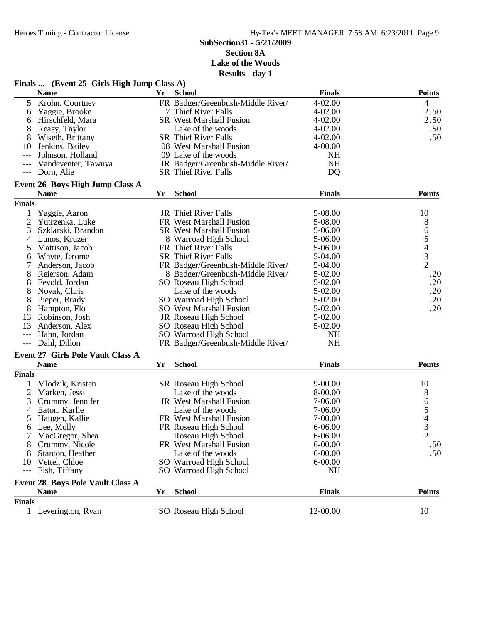#### **SubSection31 - 5/21/2009 Section 8A**

**Lake of the Woods Results - day 1**

|                     | Finals  (Event 25 Girls High Jump Class A) |    |                                   |                 |                  |
|---------------------|--------------------------------------------|----|-----------------------------------|-----------------|------------------|
|                     | <b>Name</b>                                | Yr | <b>School</b>                     | <b>Finals</b>   | <b>Points</b>    |
| 5                   | Krohn, Courtney                            |    | FR Badger/Greenbush-Middle River/ | 4-02.00         | 4                |
| 6                   | Yaggie, Brooke                             |    | 7 Thief River Falls               | 4-02.00         | 2.50             |
| 6                   | Hirschfeld, Mara                           |    | <b>SR</b> West Marshall Fusion    | 4-02.00         | 2.50             |
| 8                   | Reasy, Taylor                              |    | Lake of the woods                 | 4-02.00         | .50              |
|                     | Wiseth, Brittany                           |    | <b>SR Thief River Falls</b>       | 4-02.00         | .50              |
| 10                  | Jenkins, Bailey                            |    | 08 West Marshall Fusion           | 4-00.00         |                  |
| ---                 | Johnson, Holland                           |    | 09 Lake of the woods              | NH              |                  |
| $---$               | Vandeventer, Tawnya                        |    | JR Badger/Greenbush-Middle River/ | <b>NH</b>       |                  |
| $---$               | Dorn, Alie                                 |    | <b>SR</b> Thief River Falls       | D <sub>Q</sub>  |                  |
|                     | Event 26 Boys High Jump Class A            |    |                                   |                 |                  |
|                     | <b>Name</b>                                | Yr | <b>School</b>                     | <b>Finals</b>   | <b>Points</b>    |
| <b>Finals</b>       |                                            |    |                                   |                 |                  |
|                     | Yaggie, Aaron                              |    | JR Thief River Falls              | 5-08.00         | 10               |
| $\overline{2}$      | Yutrzenka, Luke                            |    | FR West Marshall Fusion           | 5-08.00         | 8                |
| 3                   | Szklarski, Brandon                         |    | <b>SR</b> West Marshall Fusion    | 5-06.00         |                  |
| 4                   | Lunos, Kruzer                              |    | 8 Warroad High School             | 5-06.00         | 65432            |
| 5                   | Mattison, Jacob                            |    | FR Thief River Falls              | 5-06.00         |                  |
| 6                   | Whyte, Jerome                              |    | <b>SR</b> Thief River Falls       | 5-04.00         |                  |
|                     | Anderson, Jacob                            |    | FR Badger/Greenbush-Middle River/ | 5-04.00         |                  |
| 8                   | Reierson, Adam                             |    | 8 Badger/Greenbush-Middle River/  | $5 - 02.00$     | .20              |
| 8                   | Fevold, Jordan                             |    | SO Roseau High School             | 5-02.00         | .20              |
| 8                   | Novak, Chris                               |    | Lake of the woods                 | 5-02.00         | .20              |
| 8                   | Pieper, Brady                              |    | SO Warroad High School            | 5-02.00         | .20              |
| 8                   | Hampton, Flo                               |    | SO West Marshall Fusion           | 5-02.00         | .20              |
| 13                  | Robinson, Josh                             |    | JR Roseau High School             | 5-02.00         |                  |
| 13                  | Anderson, Alex                             |    | SO Roseau High School             | 5-02.00         |                  |
|                     |                                            |    |                                   |                 |                  |
| $---$               | Hahn, Jordan                               |    | SO Warroad High School            | NH<br><b>NH</b> |                  |
| $\qquad \qquad - -$ | Dahl, Dillon                               |    | FR Badger/Greenbush-Middle River/ |                 |                  |
|                     | <b>Event 27 Girls Pole Vault Class A</b>   |    |                                   |                 |                  |
|                     | <b>Name</b>                                | Yr | <b>School</b>                     | <b>Finals</b>   | <b>Points</b>    |
| <b>Finals</b>       |                                            |    |                                   |                 |                  |
|                     | Mlodzik, Kristen                           |    | SR Roseau High School             | $9 - 00.00$     | 10               |
| 2                   | Marken, Jessi                              |    | Lake of the woods                 | 8-00.00         | 8                |
| 3                   | Crummy, Jennifer                           |    | JR West Marshall Fusion           | 7-06.00         |                  |
| 4                   | Eaton, Karlie                              |    | Lake of the woods                 | 7-06.00         | 6<br>5<br>4<br>3 |
| 5                   | Haugen, Kallie                             |    | FR West Marshall Fusion           | 7-00.00         |                  |
| 6                   | Lee, Molly                                 |    | FR Roseau High School             | $6 - 06.00$     |                  |
|                     | MacGregor, Shea                            |    | Roseau High School                | $6 - 06.00$     | 2                |
|                     | Crummy, Nicole                             |    | FR West Marshall Fusion           | $6 - 00.00$     | .50              |
|                     | Stanton, Heather                           |    | Lake of the woods                 | $6 - 00.00$     | .50              |
| 10                  | Vettel, Chloe                              |    | SO Warroad High School            | $6 - 00.00$     |                  |
| ---                 | Fish, Tiffany                              |    | SO Warroad High School            | <b>NH</b>       |                  |
|                     | <b>Event 28 Boys Pole Vault Class A</b>    |    |                                   |                 |                  |
|                     | <b>Name</b>                                | Yr | <b>School</b>                     | <b>Finals</b>   | <b>Points</b>    |
| <b>Finals</b>       |                                            |    |                                   |                 |                  |
|                     | 1 Leverington, Ryan                        |    | SO Roseau High School             | 12-00.00        | 10               |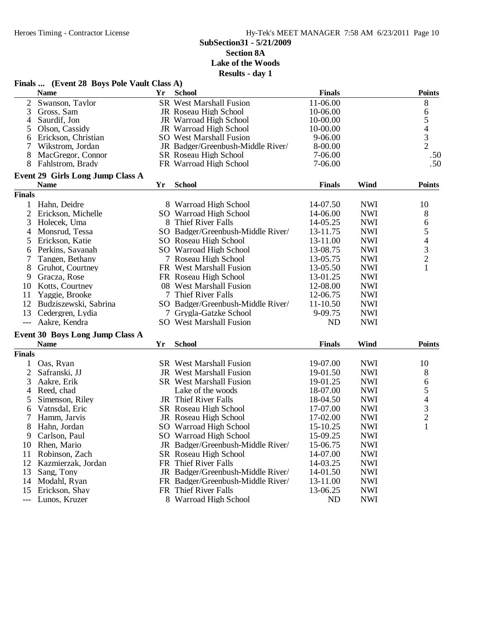| Finals  (Event 28 Boys Pole Vault Class A)<br><b>Finals</b><br><b>Name</b><br>Yr<br><b>School</b><br>$\overline{2}$<br><b>SR</b> West Marshall Fusion<br>11-06.00<br>Swanson, Taylor<br>3<br>10-06.00<br>Gross, Sam<br>JR Roseau High School<br>Saurdif, Jon<br>10-00.00<br>4<br>JR Warroad High School<br>10-00.00<br>5<br>Olson, Cassidy<br>JR Warroad High School<br>$9 - 06.00$<br>Erickson, Christian<br><b>SO</b> West Marshall Fusion<br>6<br>8-00.00<br>7<br>Wikstrom, Jordan<br>JR Badger/Greenbush-Middle River/<br>8<br>MacGregor, Connor<br>SR Roseau High School<br>7-06.00<br>8<br>Fahlstrom, Brady<br>FR Warroad High School<br>7-06.00<br><b>Event 29 Girls Long Jump Class A</b><br><b>School</b><br>Wind<br><b>Name</b><br>Yr<br><b>Finals</b> | <b>Points</b><br>8<br>6<br>$\begin{array}{c} 5 \\ 4 \\ 3 \\ 2 \end{array}$<br>.50<br>.50<br><b>Points</b><br>10<br>8 |
|------------------------------------------------------------------------------------------------------------------------------------------------------------------------------------------------------------------------------------------------------------------------------------------------------------------------------------------------------------------------------------------------------------------------------------------------------------------------------------------------------------------------------------------------------------------------------------------------------------------------------------------------------------------------------------------------------------------------------------------------------------------|----------------------------------------------------------------------------------------------------------------------|
|                                                                                                                                                                                                                                                                                                                                                                                                                                                                                                                                                                                                                                                                                                                                                                  |                                                                                                                      |
|                                                                                                                                                                                                                                                                                                                                                                                                                                                                                                                                                                                                                                                                                                                                                                  |                                                                                                                      |
|                                                                                                                                                                                                                                                                                                                                                                                                                                                                                                                                                                                                                                                                                                                                                                  |                                                                                                                      |
|                                                                                                                                                                                                                                                                                                                                                                                                                                                                                                                                                                                                                                                                                                                                                                  |                                                                                                                      |
|                                                                                                                                                                                                                                                                                                                                                                                                                                                                                                                                                                                                                                                                                                                                                                  |                                                                                                                      |
|                                                                                                                                                                                                                                                                                                                                                                                                                                                                                                                                                                                                                                                                                                                                                                  |                                                                                                                      |
|                                                                                                                                                                                                                                                                                                                                                                                                                                                                                                                                                                                                                                                                                                                                                                  |                                                                                                                      |
|                                                                                                                                                                                                                                                                                                                                                                                                                                                                                                                                                                                                                                                                                                                                                                  |                                                                                                                      |
|                                                                                                                                                                                                                                                                                                                                                                                                                                                                                                                                                                                                                                                                                                                                                                  |                                                                                                                      |
|                                                                                                                                                                                                                                                                                                                                                                                                                                                                                                                                                                                                                                                                                                                                                                  |                                                                                                                      |
|                                                                                                                                                                                                                                                                                                                                                                                                                                                                                                                                                                                                                                                                                                                                                                  |                                                                                                                      |
| <b>Finals</b>                                                                                                                                                                                                                                                                                                                                                                                                                                                                                                                                                                                                                                                                                                                                                    |                                                                                                                      |
| <b>NWI</b><br>1<br>Hahn, Deidre<br>8 Warroad High School<br>14-07.50                                                                                                                                                                                                                                                                                                                                                                                                                                                                                                                                                                                                                                                                                             |                                                                                                                      |
| $\overline{2}$<br>Erickson, Michelle<br>14-06.00<br><b>NWI</b><br>SO Warroad High School                                                                                                                                                                                                                                                                                                                                                                                                                                                                                                                                                                                                                                                                         |                                                                                                                      |
| 3<br>8 Thief River Falls<br><b>NWI</b><br>Holecek, Uma<br>14-05.25                                                                                                                                                                                                                                                                                                                                                                                                                                                                                                                                                                                                                                                                                               | 6                                                                                                                    |
| SO Badger/Greenbush-Middle River/<br>13-11.75<br><b>NWI</b><br>Monsrud, Tessa<br>4                                                                                                                                                                                                                                                                                                                                                                                                                                                                                                                                                                                                                                                                               | 5                                                                                                                    |
| Erickson, Katie<br>SO Roseau High School<br>13-11.00<br><b>NWI</b><br>5                                                                                                                                                                                                                                                                                                                                                                                                                                                                                                                                                                                                                                                                                          | $\overline{\mathcal{L}}$                                                                                             |
| <b>NWI</b><br>Perkins, Savanah<br>SO Warroad High School<br>13-08.75<br>6                                                                                                                                                                                                                                                                                                                                                                                                                                                                                                                                                                                                                                                                                        |                                                                                                                      |
| <b>NWI</b><br>7<br>Tangen, Bethany<br>7 Roseau High School<br>13-05.75                                                                                                                                                                                                                                                                                                                                                                                                                                                                                                                                                                                                                                                                                           | $\frac{3}{2}$                                                                                                        |
| <b>NWI</b><br>8<br>Gruhot, Courtney<br>FR West Marshall Fusion<br>13-05.50                                                                                                                                                                                                                                                                                                                                                                                                                                                                                                                                                                                                                                                                                       | $\mathbf{1}$                                                                                                         |
| 13-01.25<br><b>NWI</b><br>9<br>Gracza, Rose<br>FR Roseau High School                                                                                                                                                                                                                                                                                                                                                                                                                                                                                                                                                                                                                                                                                             |                                                                                                                      |
| 12-08.00<br><b>NWI</b><br>10<br>Kotts, Courtney<br>08 West Marshall Fusion                                                                                                                                                                                                                                                                                                                                                                                                                                                                                                                                                                                                                                                                                       |                                                                                                                      |
| 7 Thief River Falls<br><b>NWI</b><br>11<br>Yaggie, Brooke<br>12-06.75                                                                                                                                                                                                                                                                                                                                                                                                                                                                                                                                                                                                                                                                                            |                                                                                                                      |
| 12<br>$11 - 10.50$<br><b>NWI</b><br>Budziszewski, Sabrina<br>SO Badger/Greenbush-Middle River/                                                                                                                                                                                                                                                                                                                                                                                                                                                                                                                                                                                                                                                                   |                                                                                                                      |
| 13<br>9-09.75<br><b>NWI</b><br>Cedergren, Lydia<br>7 Grygla-Gatzke School                                                                                                                                                                                                                                                                                                                                                                                                                                                                                                                                                                                                                                                                                        |                                                                                                                      |
| <b>ND</b><br><b>NWI</b><br>Aakre, Kendra<br><b>SO</b> West Marshall Fusion<br>$\qquad \qquad - -$                                                                                                                                                                                                                                                                                                                                                                                                                                                                                                                                                                                                                                                                |                                                                                                                      |
|                                                                                                                                                                                                                                                                                                                                                                                                                                                                                                                                                                                                                                                                                                                                                                  |                                                                                                                      |
| Event 30 Boys Long Jump Class A                                                                                                                                                                                                                                                                                                                                                                                                                                                                                                                                                                                                                                                                                                                                  |                                                                                                                      |
| <b>School</b><br><b>Finals</b><br>Wind<br><b>Name</b><br>Yr                                                                                                                                                                                                                                                                                                                                                                                                                                                                                                                                                                                                                                                                                                      | <b>Points</b>                                                                                                        |
| <b>Finals</b>                                                                                                                                                                                                                                                                                                                                                                                                                                                                                                                                                                                                                                                                                                                                                    |                                                                                                                      |
| <b>NWI</b><br>Oas, Ryan<br><b>SR</b> West Marshall Fusion<br>19-07.00<br>1                                                                                                                                                                                                                                                                                                                                                                                                                                                                                                                                                                                                                                                                                       | 10                                                                                                                   |
| $\overline{c}$<br><b>NWI</b><br>JR West Marshall Fusion<br>19-01.50<br>Safranski, JJ                                                                                                                                                                                                                                                                                                                                                                                                                                                                                                                                                                                                                                                                             | 8                                                                                                                    |
| 3<br><b>SR</b> West Marshall Fusion<br>19-01.25<br><b>NWI</b><br>Aakre, Erik                                                                                                                                                                                                                                                                                                                                                                                                                                                                                                                                                                                                                                                                                     | 6                                                                                                                    |
| Reed, chad<br>18-07.00<br><b>NWI</b><br>Lake of the woods<br>4                                                                                                                                                                                                                                                                                                                                                                                                                                                                                                                                                                                                                                                                                                   | 5                                                                                                                    |
| JR Thief River Falls<br><b>NWI</b><br>Simenson, Riley<br>18-04.50<br>5                                                                                                                                                                                                                                                                                                                                                                                                                                                                                                                                                                                                                                                                                           | $\begin{array}{c} 4 \\ 3 \\ 2 \end{array}$                                                                           |
| 17-07.00<br><b>NWI</b><br>Vatnsdal, Eric<br>SR Roseau High School<br>6                                                                                                                                                                                                                                                                                                                                                                                                                                                                                                                                                                                                                                                                                           |                                                                                                                      |
| 7<br><b>NWI</b><br>Hamm, Jarvis<br>JR Roseau High School<br>17-02.00                                                                                                                                                                                                                                                                                                                                                                                                                                                                                                                                                                                                                                                                                             |                                                                                                                      |
| 8<br>15-10.25<br><b>NWI</b><br>Hahn, Jordan<br>SO Warroad High School                                                                                                                                                                                                                                                                                                                                                                                                                                                                                                                                                                                                                                                                                            | $\mathbf{1}$                                                                                                         |
| 15-09.25<br>SO Warroad High School<br><b>NWI</b><br>Carlson, Paul<br>9                                                                                                                                                                                                                                                                                                                                                                                                                                                                                                                                                                                                                                                                                           |                                                                                                                      |
| <b>NWI</b><br>Rhen, Mario<br>JR Badger/Greenbush-Middle River/<br>15-06.75<br>10                                                                                                                                                                                                                                                                                                                                                                                                                                                                                                                                                                                                                                                                                 |                                                                                                                      |
| <b>NWI</b><br>Robinson, Zach<br>SR Roseau High School<br>14-07.00<br>11                                                                                                                                                                                                                                                                                                                                                                                                                                                                                                                                                                                                                                                                                          |                                                                                                                      |
| FR Thief River Falls<br>12<br>Kazmierzak, Jordan<br>14-03.25<br><b>NWI</b>                                                                                                                                                                                                                                                                                                                                                                                                                                                                                                                                                                                                                                                                                       |                                                                                                                      |
| JR Badger/Greenbush-Middle River/<br>13<br>Sang, Tony<br>14-01.50<br><b>NWI</b>                                                                                                                                                                                                                                                                                                                                                                                                                                                                                                                                                                                                                                                                                  |                                                                                                                      |
| Modahl, Ryan<br>FR Badger/Greenbush-Middle River/<br>13-11.00<br><b>NWI</b><br>14                                                                                                                                                                                                                                                                                                                                                                                                                                                                                                                                                                                                                                                                                |                                                                                                                      |
| <b>NWI</b><br>15<br>Erickson, Shay<br>FR Thief River Falls<br>13-06.25                                                                                                                                                                                                                                                                                                                                                                                                                                                                                                                                                                                                                                                                                           |                                                                                                                      |
| Lunos, Kruzer<br>8 Warroad High School<br><b>NWI</b><br>ND<br>$---$                                                                                                                                                                                                                                                                                                                                                                                                                                                                                                                                                                                                                                                                                              |                                                                                                                      |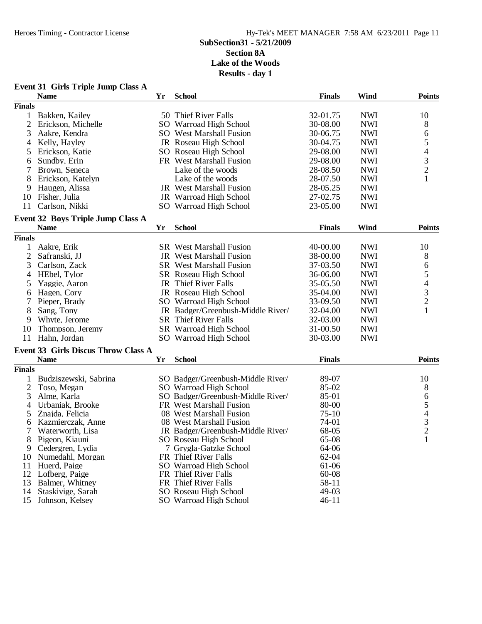|               | <b>Event 31 Girls Triple Jump Class A</b>               |    |                                   |               |            |                |
|---------------|---------------------------------------------------------|----|-----------------------------------|---------------|------------|----------------|
|               | <b>Name</b>                                             | Yr | <b>School</b>                     | <b>Finals</b> | Wind       | <b>Points</b>  |
| <b>Finals</b> |                                                         |    |                                   |               |            |                |
| $\mathbf{1}$  | Bakken, Kailey                                          |    | 50 Thief River Falls              | 32-01.75      | <b>NWI</b> | 10             |
| 2             | Erickson, Michelle                                      |    | SO Warroad High School            | 30-08.00      | <b>NWI</b> | 8              |
| 3             | Aakre, Kendra                                           |    | <b>SO</b> West Marshall Fusion    | 30-06.75      | <b>NWI</b> | 6              |
| 4             | Kelly, Hayley                                           |    | JR Roseau High School             | 30-04.75      | <b>NWI</b> | 5              |
| 5             | Erickson, Katie                                         |    | SO Roseau High School             | 29-08.00      | <b>NWI</b> | 4              |
| 6             | Sundby, Erin                                            |    | FR West Marshall Fusion           | 29-08.00      | <b>NWI</b> | 3              |
| 7             | Brown, Seneca                                           |    | Lake of the woods                 | 28-08.50      | <b>NWI</b> | $\overline{c}$ |
| 8             | Erickson, Katelyn                                       |    | Lake of the woods                 | 28-07.50      | <b>NWI</b> | $\mathbf{1}$   |
| 9             | Haugen, Alissa                                          |    | JR West Marshall Fusion           | 28-05.25      | <b>NWI</b> |                |
| 10            | Fisher, Julia                                           |    | JR Warroad High School            | 27-02.75      | <b>NWI</b> |                |
| 11            | Carlson, Nikki                                          |    | SO Warroad High School            | 23-05.00      | <b>NWI</b> |                |
|               |                                                         |    |                                   |               |            |                |
|               | <b>Event 32 Boys Triple Jump Class A</b><br><b>Name</b> | Yr | <b>School</b>                     | <b>Finals</b> | Wind       | <b>Points</b>  |
|               |                                                         |    |                                   |               |            |                |
| <b>Finals</b> |                                                         |    |                                   |               |            |                |
| 1             | Aakre, Erik                                             |    | <b>SR</b> West Marshall Fusion    | 40-00.00      | <b>NWI</b> | 10             |
| 2             | Safranski, JJ                                           |    | <b>JR</b> West Marshall Fusion    | 38-00.00      | <b>NWI</b> | 8              |
| 3             | Carlson, Zack                                           |    | <b>SR</b> West Marshall Fusion    | 37-03.50      | <b>NWI</b> | 6              |
| 4             | HEbel, Tylor                                            |    | SR Roseau High School             | 36-06.00      | <b>NWI</b> | 5              |
| 5             | Yaggie, Aaron                                           |    | JR Thief River Falls              | 35-05.50      | <b>NWI</b> | 4              |
| 6             | Hagen, Cory                                             |    | JR Roseau High School             | 35-04.00      | <b>NWI</b> | 3              |
|               | Pieper, Brady                                           |    | SO Warroad High School            | 33-09.50      | <b>NWI</b> | $\overline{c}$ |
| 8             | Sang, Tony                                              |    | JR Badger/Greenbush-Middle River/ | 32-04.00      | <b>NWI</b> | 1              |
| 9             | Whyte, Jerome                                           |    | <b>SR</b> Thief River Falls       | 32-03.00      | <b>NWI</b> |                |
| 10            | Thompson, Jeremy                                        |    | SR Warroad High School            | 31-00.50      | <b>NWI</b> |                |
| 11            | Hahn, Jordan                                            |    | SO Warroad High School            | 30-03.00      | <b>NWI</b> |                |
|               | <b>Event 33 Girls Discus Throw Class A</b>              |    |                                   |               |            |                |
|               | <b>Name</b>                                             | Yr | <b>School</b>                     | <b>Finals</b> |            | <b>Points</b>  |
| <b>Finals</b> |                                                         |    |                                   |               |            |                |
| 1             | Budziszewski, Sabrina                                   |    | SO Badger/Greenbush-Middle River/ | 89-07         |            | 10             |
| 2             | Toso, Megan                                             |    | SO Warroad High School            | 85-02         |            | 8              |
| 3             | Alme, Karla                                             |    | SO Badger/Greenbush-Middle River/ | 85-01         |            | 6              |
| 4             | Urbaniak, Brooke                                        |    | FR West Marshall Fusion           | 80-00         |            | 5              |
| 5             | Znajda, Felicia                                         |    | 08 West Marshall Fusion           | $75-10$       |            |                |
| 6             | Kazmierczak, Anne                                       |    | 08 West Marshall Fusion           | 74-01         |            | 4<br>3         |
| 7             | Waterworth, Lisa                                        |    | JR Badger/Greenbush-Middle River/ | 68-05         |            | $\overline{c}$ |
| 8             | Pigeon, Kiauni                                          |    | SO Roseau High School             | 65-08         |            | 1              |
| 9             | Cedergren, Lydia                                        |    | 7 Grygla-Gatzke School            | 64-06         |            |                |
| 10            | Numedahl, Morgan                                        |    | FR Thief River Falls              | 62-04         |            |                |
| 11            | Huerd, Paige                                            |    | SO Warroad High School            | 61-06         |            |                |
| 12            | Lofberg, Paige                                          |    | FR Thief River Falls              | 60-08         |            |                |
| 13            | Balmer, Whitney                                         |    | FR Thief River Falls              | 58-11         |            |                |
| 14            | Staskivige, Sarah                                       |    | SO Roseau High School             | 49-03         |            |                |
| 15            | Johnson, Kelsey                                         |    | SO Warroad High School            | $46 - 11$     |            |                |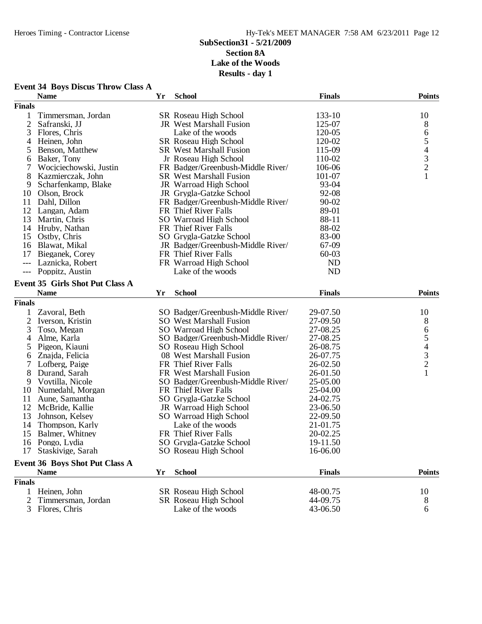| <b>Event 34 Boys Discus Throw Class A</b> |  |  |  |  |  |
|-------------------------------------------|--|--|--|--|--|
|-------------------------------------------|--|--|--|--|--|

|                | <b>Name</b>                            | Yr | <b>School</b>                     | <b>Finals</b> | <b>Points</b>                              |
|----------------|----------------------------------------|----|-----------------------------------|---------------|--------------------------------------------|
| <b>Finals</b>  |                                        |    |                                   |               |                                            |
| 1              | Timmersman, Jordan                     |    | SR Roseau High School             | 133-10        | 10                                         |
| $\overline{2}$ | Safranski, JJ                          |    | JR West Marshall Fusion           | 125-07        | 8                                          |
| 3              | Flores, Chris                          |    | Lake of the woods                 | 120-05        | 6                                          |
| 4              | Heinen, John                           |    | SR Roseau High School             | 120-02        | 5                                          |
| 5              | Benson, Matthew                        |    | <b>SR</b> West Marshall Fusion    | 115-09        | $\overline{\mathcal{L}}$                   |
| 6              | Baker, Tony                            |    | Jr Roseau High School             | 110-02        |                                            |
| 7              | Wocjciechowski, Justin                 |    | FR Badger/Greenbush-Middle River/ | 106-06        | $\frac{3}{2}$                              |
| 8              | Kazmierczak, John                      |    | <b>SR</b> West Marshall Fusion    | 101-07        |                                            |
| 9              | Scharfenkamp, Blake                    |    | JR Warroad High School            | 93-04         |                                            |
| 10             | Olson, Brock                           |    | JR Grygla-Gatzke School           | 92-08         |                                            |
| 11             | Dahl, Dillon                           |    | FR Badger/Greenbush-Middle River/ | $90 - 02$     |                                            |
| 12             | Langan, Adam                           |    | FR Thief River Falls              | 89-01         |                                            |
| 13             | Martin, Chris                          |    | SO Warroad High School            | 88-11         |                                            |
|                | 14 Hruby, Nathan                       |    | FR Thief River Falls              | 88-02         |                                            |
| 15             | Ostby, Chris                           |    | SO Grygla-Gatzke School           | 83-00         |                                            |
| 16             | Blawat, Mikal                          |    | JR Badger/Greenbush-Middle River/ | 67-09         |                                            |
| 17             | Bieganek, Corey                        |    | FR Thief River Falls              | $60 - 03$     |                                            |
| $---$          | Laznicka, Robert                       |    | FR Warroad High School            | <b>ND</b>     |                                            |
|                | --- Poppitz, Austin                    |    | Lake of the woods                 | <b>ND</b>     |                                            |
|                | <b>Event 35 Girls Shot Put Class A</b> |    |                                   |               |                                            |
|                | <b>Name</b>                            | Yr | <b>School</b>                     | <b>Finals</b> | <b>Points</b>                              |
| <b>Finals</b>  |                                        |    |                                   |               |                                            |
|                |                                        |    |                                   |               |                                            |
| 1              | Zavoral, Beth                          |    | SO Badger/Greenbush-Middle River/ | 29-07.50      | 10                                         |
| $\overline{c}$ | Iverson, Kristin                       |    | <b>SO</b> West Marshall Fusion    | 27-09.50      | 8                                          |
| 3              | Toso, Megan                            |    | SO Warroad High School            | 27-08.25      | 6                                          |
| $\overline{4}$ | Alme, Karla                            |    | SO Badger/Greenbush-Middle River/ | 27-08.25      | 5                                          |
| 5              | Pigeon, Kiauni                         |    | SO Roseau High School             | 26-08.75      |                                            |
| 6              | Znajda, Felicia                        |    | 08 West Marshall Fusion           | 26-07.75      | $\begin{array}{c} 4 \\ 3 \\ 2 \end{array}$ |
| 7              | Lofberg, Paige                         |    | FR Thief River Falls              | 26-02.50      |                                            |
| 8              | Durand, Sarah                          |    | FR West Marshall Fusion           | 26-01.50      | $\mathbf{1}$                               |
| 9              | Voytilla, Nicole                       |    | SO Badger/Greenbush-Middle River/ | 25-05.00      |                                            |
| 10             | Numedahl, Morgan                       |    | FR Thief River Falls              | 25-04.00      |                                            |
| 11             | Aune, Samantha                         |    | SO Grygla-Gatzke School           | 24-02.75      |                                            |
| 12             | McBride, Kallie                        |    | JR Warroad High School            | 23-06.50      |                                            |
| 13             | Johnson, Kelsey                        |    | SO Warroad High School            | 22-09.50      |                                            |
| 14             | Thompson, Karly                        |    | Lake of the woods                 | 21-01.75      |                                            |
| 15             | Balmer, Whitney                        |    | FR Thief River Falls              | 20-02.25      |                                            |
| 16             | Pongo, Lydia                           |    | SO Grygla-Gatzke School           | 19-11.50      |                                            |
| 17             | Staskivige, Sarah                      |    | SO Roseau High School             | 16-06.00      |                                            |
|                | <b>Event 36 Boys Shot Put Class A</b>  |    |                                   |               |                                            |
|                | <b>Name</b>                            | Yr | <b>School</b>                     | <b>Finals</b> | <b>Points</b>                              |
| <b>Finals</b>  |                                        |    |                                   |               |                                            |
| 1              | Heinen, John                           |    | SR Roseau High School             | 48-00.75      | 10                                         |
|                | Timmersman, Jordan                     |    | <b>SR Roseau High School</b>      | 44-09.75      | 8                                          |
| 3              | Flores, Chris                          |    | Lake of the woods                 | 43-06.50      | 6                                          |
|                |                                        |    |                                   |               |                                            |